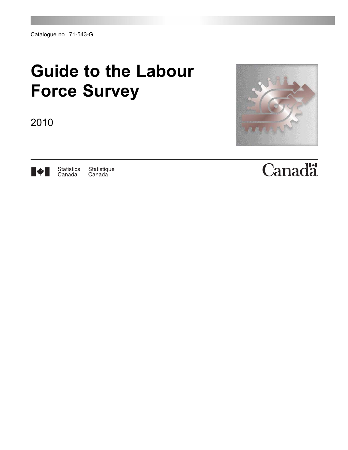# **Guide to the Labour Force Survey**

2010





Statistique<br>Canada Statistics<br>Canada

# Canadä<sup>r</sup>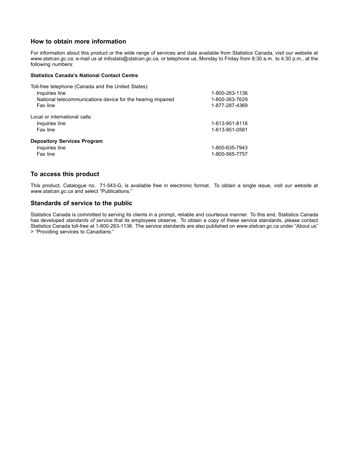### **How to obtain more information**

For information about this product or the wide range of services and data available from Statistics Canada, visit our website at *www.statcan.gc.ca*, e-mail us at *infostats@statcan.gc.ca,* or telephone us, Monday to Friday from 8:30 a.m. to 4:30 p.m., at the following numbers:

#### **Statistics Canada's National Contact Centre**

| Toll-free telephone (Canada and the United States):         |                |
|-------------------------------------------------------------|----------------|
| Inquiries line                                              | 1-800-263-1136 |
| National telecommunications device for the hearing impaired | 1-800-363-7629 |
| Fax line                                                    | 1-877-287-4369 |
| Local or international calls:                               |                |
| Inquiries line                                              | 1-613-951-8116 |
| Fax line                                                    | 1-613-951-0581 |
| <b>Depository Services Program</b>                          |                |
| Inquiries line                                              | 1-800-635-7943 |
| Fax line                                                    | 1-800-565-7757 |

#### **To access this product**

This product, Catalogue no. 71-543-G, is available free in electronic format. To obtain a single issue, visit our website at *www.statcan.gc.ca* and select "Publications."

#### **Standards of service to the public**

Statistics Canada is committed to serving its clients in a prompt, reliable and courteous manner. To this end, Statistics Canada has developed *standards of service* that its employees observe. To obtain a copy of these service standards, please contact Statistics Canada toll-free at 1-800-263-1136. The service standards are also published on *www.statcan.gc.ca* under "About us" > "Providing services to Canadians."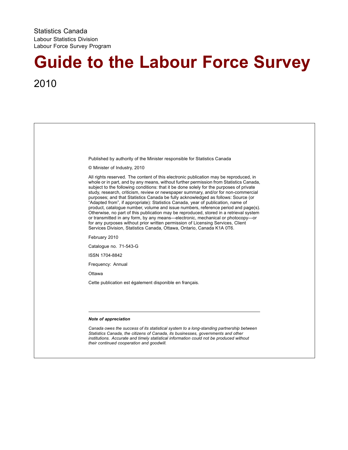# **Guide to the Labour Force Survey** 2010

| Published by authority of the Minister responsible for Statistics Canada                                                                                                                                                                                                                                                                                                                                                                                                                                                                                                                                                                                                                                                                                                                                                                                                                                                                                                  |
|---------------------------------------------------------------------------------------------------------------------------------------------------------------------------------------------------------------------------------------------------------------------------------------------------------------------------------------------------------------------------------------------------------------------------------------------------------------------------------------------------------------------------------------------------------------------------------------------------------------------------------------------------------------------------------------------------------------------------------------------------------------------------------------------------------------------------------------------------------------------------------------------------------------------------------------------------------------------------|
| © Minister of Industry, 2010                                                                                                                                                                                                                                                                                                                                                                                                                                                                                                                                                                                                                                                                                                                                                                                                                                                                                                                                              |
| All rights reserved. The content of this electronic publication may be reproduced, in<br>whole or in part, and by any means, without further permission from Statistics Canada,<br>subject to the following conditions: that it be done solely for the purposes of private<br>study, research, criticism, review or newspaper summary, and/or for non-commercial<br>purposes; and that Statistics Canada be fully acknowledged as follows: Source (or<br>"Adapted from", if appropriate): Statistics Canada, year of publication, name of<br>product, catalogue number, volume and issue numbers, reference period and page(s).<br>Otherwise, no part of this publication may be reproduced, stored in a retrieval system<br>or transmitted in any form, by any means—electronic, mechanical or photocopy—or<br>for any purposes without prior written permission of Licensing Services, Client<br>Services Division, Statistics Canada, Ottawa, Ontario, Canada K1A 0T6. |
| February 2010                                                                                                                                                                                                                                                                                                                                                                                                                                                                                                                                                                                                                                                                                                                                                                                                                                                                                                                                                             |
| Catalogue no. 71-543-G                                                                                                                                                                                                                                                                                                                                                                                                                                                                                                                                                                                                                                                                                                                                                                                                                                                                                                                                                    |
| ISSN 1704-8842                                                                                                                                                                                                                                                                                                                                                                                                                                                                                                                                                                                                                                                                                                                                                                                                                                                                                                                                                            |
| Frequency: Annual                                                                                                                                                                                                                                                                                                                                                                                                                                                                                                                                                                                                                                                                                                                                                                                                                                                                                                                                                         |
| Ottawa                                                                                                                                                                                                                                                                                                                                                                                                                                                                                                                                                                                                                                                                                                                                                                                                                                                                                                                                                                    |
| Cette publication est également disponible en français.                                                                                                                                                                                                                                                                                                                                                                                                                                                                                                                                                                                                                                                                                                                                                                                                                                                                                                                   |
|                                                                                                                                                                                                                                                                                                                                                                                                                                                                                                                                                                                                                                                                                                                                                                                                                                                                                                                                                                           |
|                                                                                                                                                                                                                                                                                                                                                                                                                                                                                                                                                                                                                                                                                                                                                                                                                                                                                                                                                                           |
| Note of appreciation                                                                                                                                                                                                                                                                                                                                                                                                                                                                                                                                                                                                                                                                                                                                                                                                                                                                                                                                                      |
| Canada owes the success of its statistical system to a long-standing partnership between<br>Statistics Canada, the citizens of Canada, its businesses, governments and other<br>institutions. Accurate and timely statistical information could not be produced without<br>their continued cooperation and goodwill.                                                                                                                                                                                                                                                                                                                                                                                                                                                                                                                                                                                                                                                      |
|                                                                                                                                                                                                                                                                                                                                                                                                                                                                                                                                                                                                                                                                                                                                                                                                                                                                                                                                                                           |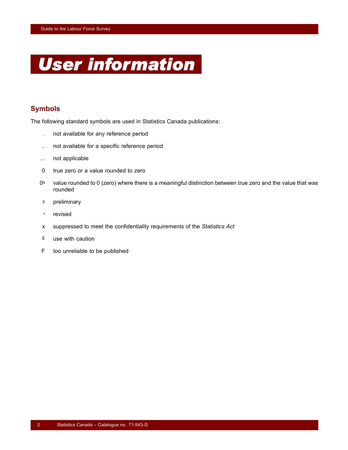

## **Symbols**

The following standard symbols are used in Statistics Canada publications:

- . not available for any reference period
- .. not available for a specific reference period
- ... not applicable
- 0 true zero or a value rounded to zero
- 0<sup>s</sup> value rounded to 0 (zero) where there is a meaningful distinction between true zero and the value that was rounded
- p preliminary
- r revised
- x suppressed to meet the confidentiality requirements of the *Statistics Act*
- $E$  use with caution
- F too unreliable to be published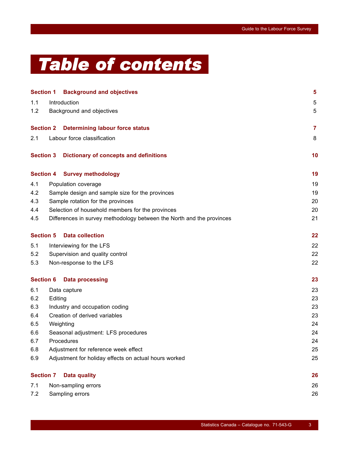# *Table of contents*

|                  |                                 | <b>Section 1 Background and objectives</b>                            | $\overline{\mathbf{5}}$ |  |  |  |
|------------------|---------------------------------|-----------------------------------------------------------------------|-------------------------|--|--|--|
| 1.1              |                                 | Introduction                                                          | 5                       |  |  |  |
| 1.2              |                                 | Background and objectives                                             | 5                       |  |  |  |
| <b>Section 2</b> |                                 | <b>Determining labour force status</b>                                | $\overline{7}$          |  |  |  |
| 2.1              |                                 | Labour force classification                                           | 8                       |  |  |  |
| <b>Section 3</b> |                                 | <b>Dictionary of concepts and definitions</b>                         | 10                      |  |  |  |
| <b>Section 4</b> |                                 | <b>Survey methodology</b>                                             | 19                      |  |  |  |
| 4.1              |                                 | Population coverage                                                   | 19                      |  |  |  |
| 4.2              |                                 | Sample design and sample size for the provinces                       | 19                      |  |  |  |
| 4.3              |                                 | Sample rotation for the provinces                                     | 20                      |  |  |  |
| 4.4              |                                 | Selection of household members for the provinces                      | 20                      |  |  |  |
| 4.5              |                                 | Differences in survey methodology between the North and the provinces | 21                      |  |  |  |
| <b>Section 5</b> |                                 | <b>Data collection</b>                                                | 22                      |  |  |  |
| 5.1              |                                 | Interviewing for the LFS                                              | 22                      |  |  |  |
| 5.2              | Supervision and quality control |                                                                       |                         |  |  |  |
| 5.3              |                                 | Non-response to the LFS                                               | 22                      |  |  |  |
| <b>Section 6</b> |                                 | <b>Data processing</b>                                                | 23                      |  |  |  |
| 6.1              |                                 | Data capture                                                          | 23                      |  |  |  |
| 6.2              | Editing                         |                                                                       | 23                      |  |  |  |
| 6.3              |                                 | Industry and occupation coding                                        | 23                      |  |  |  |
| 6.4              |                                 | Creation of derived variables                                         | 23                      |  |  |  |
| 6.5              |                                 | Weighting                                                             | 24                      |  |  |  |
| 6.6              |                                 | Seasonal adjustment: LFS procedures                                   | 24                      |  |  |  |
| 6.7              |                                 | Procedures                                                            | 24                      |  |  |  |
| 6.8              |                                 | Adjustment for reference week effect                                  | 25                      |  |  |  |
| 6.9              |                                 | Adjustment for holiday effects on actual hours worked                 | 25                      |  |  |  |
| <b>Section 7</b> |                                 | <b>Data quality</b>                                                   | 26                      |  |  |  |
| 7.1              |                                 | Non-sampling errors                                                   | 26                      |  |  |  |
| 7.2              |                                 | Sampling errors                                                       | 26                      |  |  |  |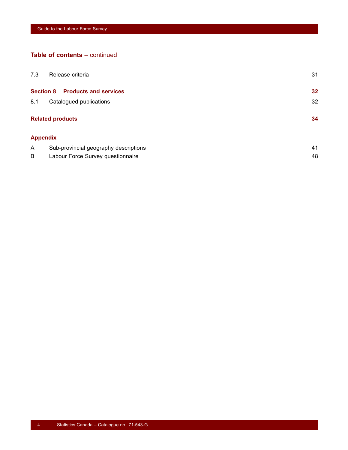## **Table of contents** – continued

| 7.3 | Release criteria                                 | 31 |
|-----|--------------------------------------------------|----|
|     | <b>Section 8</b><br><b>Products and services</b> | 32 |
| 8.1 | Catalogued publications                          | 32 |
|     | <b>Related products</b>                          | 34 |
|     | <b>Appendix</b>                                  |    |
| Α   | Sub-provincial geography descriptions            | 41 |
| B   | Labour Force Survey questionnaire                | 48 |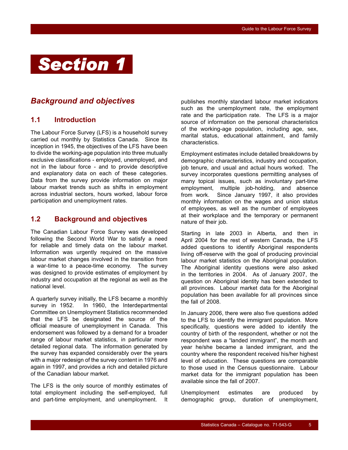# <span id="page-6-0"></span>*Section 1*

## *Background and objectives*

## **1.1 Introduction**

The Labour Force Survey (LFS) is a household survey carried out monthly by Statistics Canada. Since its inception in 1945, the objectives of the LFS have been to divide the working-age population into three mutually exclusive classifications - employed, unemployed, and not in the labour force - and to provide descriptive and explanatory data on each of these categories. Data from the survey provide information on major labour market trends such as shifts in employment across industrial sectors, hours worked, labour force participation and unemployment rates.

## **1.2 Background and objectives**

The Canadian Labour Force Survey was developed following the Second World War to satisfy a need for reliable and timely data on the labour market. Information was urgently required on the massive labour market changes involved in the transition from a war-time to a peace-time economy. The survey was designed to provide estimates of employment by industry and occupation at the regional as well as the national level.

A quarterly survey initially, the LFS became a monthly survey in 1952. In 1960, the Interdepartmental Committee on Unemployment Statistics recommended that the LFS be designated the source of the official measure of unemployment in Canada. This endorsement was followed by a demand for a broader range of labour market statistics, in particular more detailed regional data. The information generated by the survey has expanded considerably over the years with a major redesign of the survey content in 1976 and again in 1997, and provides a rich and detailed picture of the Canadian labour market.

The LFS is the only source of monthly estimates of total employment including the self-employed, full and part-time employment, and unemployment. It publishes monthly standard labour market indicators such as the unemployment rate, the employment rate and the participation rate. The LFS is a major source of information on the personal characteristics of the working-age population, including age, sex, marital status, educational attainment, and family characteristics.

Employment estimates include detailed breakdowns by demographic characteristics, industry and occupation, job tenure, and usual and actual hours worked. The survey incorporates questions permitting analyses of many topical issues, such as involuntary part-time employment, multiple job-holding, and absence from work. Since January 1997, it also provides monthly information on the wages and union status of employees, as well as the number of employees at their workplace and the temporary or permanent nature of their job.

Starting in late 2003 in Alberta, and then in April 2004 for the rest of western Canada, the LFS added questions to identify Aboriginal respondents living off-reserve with the goal of producing provincial labour market statistics on the Aboriginal population. The Aboriginal identity questions were also asked in the territories in 2004. As of January 2007, the question on Aboriginal identity has been extended to all provinces. Labour market data for the Aboriginal population has been available for all provinces since the fall of 2008.

In January 2006, there were also five questions added to the LFS to identify the immigrant population. More specifically, questions were added to identify the country of birth of the respondent, whether or not the respondent was a "landed immigrant", the month and year he/she became a landed immigrant, and the country where the respondent received his/her highest level of education. These questions are comparable to those used in the Census questionnaire. Labour market data for the immigrant population has been available since the fall of 2007.

Unemployment estimates are produced by demographic group, duration of unemployment,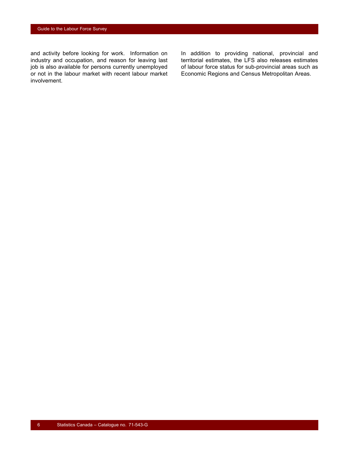and activity before looking for work. Information on industry and occupation, and reason for leaving last job is also available for persons currently unemployed or not in the labour market with recent labour market involvement.

In addition to providing national, provincial and territorial estimates, the LFS also releases estimates of labour force status for sub-provincial areas such as Economic Regions and Census Metropolitan Areas.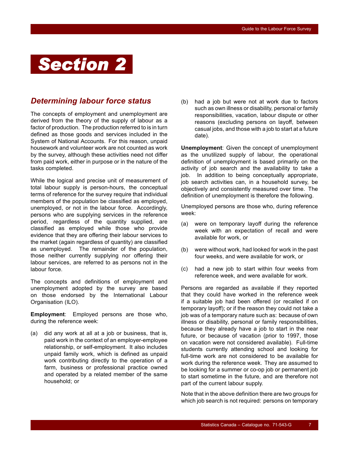# <span id="page-8-0"></span>*Section 2*

## *Determining labour force status*

The concepts of employment and unemployment are derived from the theory of the supply of labour as a factor of production. The production referred to is in turn defined as those goods and services included in the System of National Accounts. For this reason, unpaid housework and volunteer work are not counted as work by the survey, although these activities need not differ from paid work, either in purpose or in the nature of the tasks completed.

While the logical and precise unit of measurement of total labour supply is person-hours, the conceptual terms of reference for the survey require that individual members of the population be classified as employed, unemployed, or not in the labour force. Accordingly, persons who are supplying services in the reference period, regardless of the quantity supplied, are classified as employed while those who provide evidence that they are offering their labour services to the market (again regardless of quantity) are classified as unemployed. The remainder of the population, those neither currently supplying nor offering their labour services, are referred to as persons not in the labour force.

The concepts and definitions of employment and unemployment adopted by the survey are based on those endorsed by the International Labour Organisation (ILO).

**Employment**: Employed persons are those who, during the reference week:

(a) did any work at all at a job or business, that is, paid work in the context of an employer-employee relationship, or self-employment. It also includes unpaid family work, which is defined as unpaid work contributing directly to the operation of a farm, business or professional practice owned and operated by a related member of the same household; or

(b) had a job but were not at work due to factors such as own illness or disability, personal or family responsibilities, vacation, labour dispute or other reasons (excluding persons on layoff, between casual jobs, and those with a job to start at a future date).

**Unemployment**: Given the concept of unemployment as the unutilized supply of labour, the operational definition of unemployment is based primarily on the activity of job search and the availability to take a job. In addition to being conceptually appropriate, job search activities can, in a household survey, be objectively and consistently measured over time. The definition of unemployment is therefore the following.

Unemployed persons are those who, during reference week:

- (a) were on temporary layoff during the reference week with an expectation of recall and were available for work, or
- (b) were without work, had looked for work in the past four weeks, and were available for work, or
- (c) had a new job to start within four weeks from reference week, and were available for work.

Persons are regarded as available if they reported that they could have worked in the reference week if a suitable job had been offered (or recalled if on temporary layoff); or if the reason they could not take a job was of a temporary nature such as: because of own illness or disability, personal or family responsibilities, because they already have a job to start in the near future, or because of vacation (prior to 1997, those on vacation were not considered available). Full-time students currently attending school and looking for full-time work are not considered to be available for work during the reference week. They are assumed to be looking for a summer or co-op job or permanent job to start sometime in the future, and are therefore not part of the current labour supply.

Note that in the above definition there are two groups for which job search is not required: persons on temporary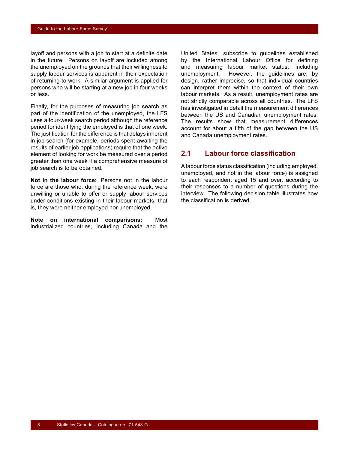<span id="page-9-0"></span>layoff and persons with a job to start at a definite date in the future. Persons on layoff are included among the unemployed on the grounds that their willingness to supply labour services is apparent in their expectation of returning to work. A similar argument is applied for persons who will be starting at a new job in four weeks or less.

Finally, for the purposes of measuring job search as part of the identification of the unemployed, the LFS uses a four-week search period although the reference period for identifying the employed is that of one week. The justification for the difference is that delays inherent in job search (for example, periods spent awaiting the results of earlier job applications) require that the active element of looking for work be measured over a period greater than one week if a comprehensive measure of job search is to be obtained.

**Not in the labour force:** Persons not in the labour force are those who, during the reference week, were unwilling or unable to offer or supply labour services under conditions existing in their labour markets, that is, they were neither employed nor unemployed.

**Note on international comparisons:** Most industrialized countries, including Canada and the

United States, subscribe to guidelines established by the International Labour Office for defining and measuring labour market status, including unemployment. However, the guidelines are, by design, rather imprecise, so that individual countries can interpret them within the context of their own labour markets. As a result, unemployment rates are not strictly comparable across all countries. The LFS has investigated in detail the measurement differences between the US and Canadian unemployment rates. The results show that measurement differences account for about a fifth of the gap between the US and Canada unemployment rates.

## **2.1 Labour force classification**

A labour force status classification (including employed, unemployed, and not in the labour force) is assigned to each respondent aged 15 and over, according to their responses to a number of questions during the interview. The following decision table illustrates how the classification is derived.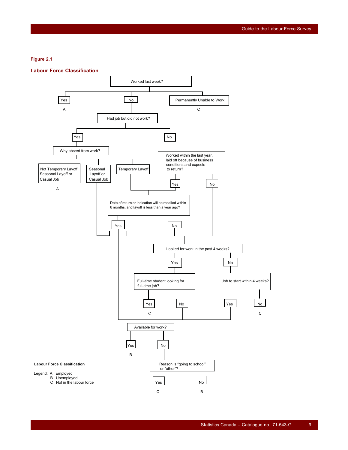#### **Figure 2.1**

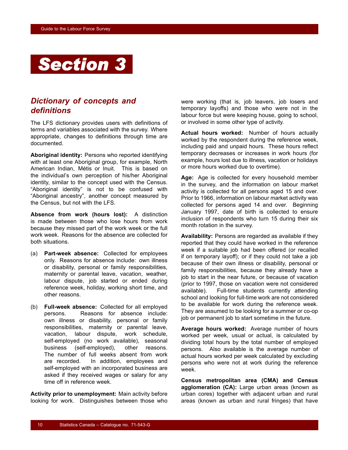<span id="page-11-0"></span>

## *Dictionary of concepts and definitions*

The LFS dictionary provides users with definitions of terms and variables associated with the survey. Where appropriate, changes to definitions through time are documented.

**Aboriginal identity:** Persons who reported identifying with at least one Aboriginal group, for example, North American Indian, Métis or Inuit. This is based on the individual's own perception of his/her Aboriginal identity, similar to the concept used with the Census. "Aboriginal identity" is not to be confused with "Aboriginal ancestry", another concept measured by the Census, but not with the LFS.

**Absence from work (hours lost):** A distinction is made between those who lose hours from work because they missed part of the work week or the full work week. Reasons for the absence are collected for both situations.

- (a) **Part-week absence:** Collected for employees only. Reasons for absence include: own illness or disability, personal or family responsibilities, maternity or parental leave, vacation, weather, labour dispute, job started or ended during reference week, holiday, working short time, and other reasons.
- (b) **Full-week absence:** Collected for all employed persons. Reasons for absence include: own illness or disability, personal or family responsibilities, maternity or parental leave, vacation, labour dispute, work schedule, self-employed (no work available), seasonal business (self-employed), other reasons. The number of full weeks absent from work are recorded. In addition, employees and self-employed with an incorporated business are asked if they received wages or salary for any time off in reference week

**Activity prior to unemployment:** Main activity before looking for work. Distinguishes between those who were working (that is, job leavers, job losers and temporary layoffs) and those who were not in the labour force but were keeping house, going to school, or involved in some other type of activity.

**Actual hours worked:** Number of hours actually worked by the respondent during the reference week, including paid and unpaid hours. These hours reflect temporary decreases or increases in work hours (for example, hours lost due to illness, vacation or holidays or more hours worked due to overtime).

**Age:** Age is collected for every household member in the survey, and the information on labour market activity is collected for all persons aged 15 and over. Prior to 1966, information on labour market activity was collected for persons aged 14 and over. Beginning January 1997, date of birth is collected to ensure inclusion of respondents who turn 15 during their six month rotation in the survey.

**Availability:** Persons are regarded as available if they reported that they could have worked in the reference week if a suitable job had been offered (or recalled if on temporary layoff); or if they could not take a job because of their own illness or disability, personal or family responsibilities, because they already have a job to start in the near future, or because of vacation (prior to 1997, those on vacation were not considered available). Full-time students currently attending school and looking for full-time work are not considered to be available for work during the reference week. They are assumed to be looking for a summer or co-op job or permanent job to start sometime in the future.

**Average hours worked:** Average number of hours worked per week, usual or actual, is calculated by dividing total hours by the total number of employed persons. Also available is the average number of actual hours worked per week calculated by excluding persons who were not at work during the reference week.

**Census metropolitan area (CMA) and Census agglomeration (CA):** Large urban areas (known as urban cores) together with adjacent urban and rural areas (known as urban and rural fringes) that have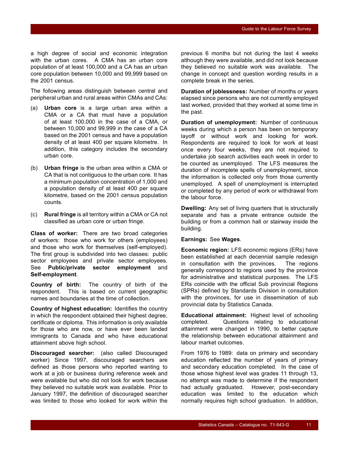a high degree of social and economic integration with the urban cores. A CMA has an urban core population of at least 100,000 and a CA has an urban core population between 10,000 and 99,999 based on the 2001 census.

The following areas distinguish between central and peripheral urban and rural areas within CMAs and CAs:

- (a) **Urban core** is a large urban area within a CMA or a CA that must have a population of at least 100,000 in the case of a CMA, or between 10,000 and 99,999 in the case of a CA based on the 2001 census and have a population density of at least 400 per square kilometre. In addition, this category includes the secondary urban core.
- (b) **Urban fringe** is the urban area within a CMA or CA that is not contiguous to the urban core. It has a minimum population concentration of 1,000 and a population density of at least 400 per square kilometre, based on the 2001 census population counts.
- (c) **Rural fringe** is all territory within a CMA or CA not classified as urban core or urban fringe.

**Class of worker:** There are two broad categories of workers: those who work for others (employees) and those who work for themselves (self-employed). The first group is subdivided into two classes: public sector employees and private sector employees. See **Public/private sector employment** and **Self-employment**.

**Country of birth:** The country of birth of the respondent. This is based on current geographic names and boundaries at the time of collection.

**Country of highest education:** Identifies the country in which the respondent obtained their highest degree, certificate or diploma. This information is only available for those who are now, or have ever been landed immigrants to Canada and who have educational attainment above high school.

**Discouraged searcher:** (also called Discouraged worker) Since 1997, discouraged searchers are defined as those persons who reported wanting to work at a job or business during reference week and were available but who did not look for work because they believed no suitable work was available. Prior to January 1997, the definition of discouraged searcher was limited to those who looked for work within the previous 6 months but not during the last 4 weeks although they were available, and did not look because they believed no suitable work was available. The change in concept and question wording results in a complete break in the series.

**Duration of joblessness:** Number of months or years elapsed since persons who are not currently employed last worked, provided that they worked at some time in the past.

**Duration of unemployment:** Number of continuous weeks during which a person has been on temporary layoff or without work and looking for work. Respondents are required to look for work at least once every four weeks, they are not required to undertake job search activities each week in order to be counted as unemployed. The LFS measures the duration of incomplete spells of unemployment, since the information is collected only from those currently unemployed. A spell of unemployment is interrupted or completed by any period of work or withdrawal from the labour force.

**Dwelling:** Any set of living quarters that is structurally separate and has a private entrance outside the building or from a common hall or stairway inside the building.

#### **Earnings:** See **Wages**.

**Economic region:** LFS economic regions (ERs) have been established at each decennial sample redesign in consultation with the provinces. The regions generally correspond to regions used by the province for administrative and statistical purposes. The LFS ERs coincide with the official Sub provincial Regions (SPRs) defined by Standards Division in consultation with the provinces, for use in dissemination of sub provincial data by Statistics Canada.

**Educational attainment:** Highest level of schooling completed. Questions relating to educational attainment were changed in 1990, to better capture the relationship between educational attainment and labour market outcomes.

From 1976 to 1989: data on primary and secondary education reflected the number of years of primary and secondary education completed. In the case of those whose highest level was grades 11 through 13, no attempt was made to determine if the respondent had actually graduated. However, post-secondary education was limited to the education which normally requires high school graduation. In addition,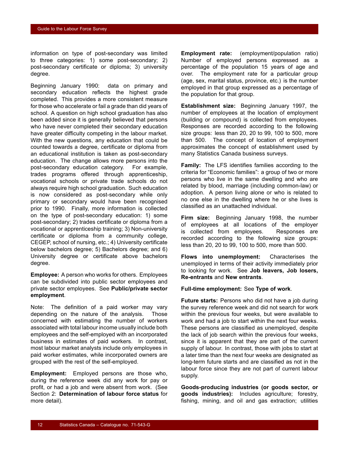information on type of post-secondary was limited to three categories: 1) some post-secondary; 2) post-secondary certificate or diploma; 3) university degree.

Beginning January 1990: data on primary and secondary education reflects the highest grade completed. This provides a more consistent measure for those who accelerate or fail a grade than did years of school. A question on high school graduation has also been added since it is generally believed that persons who have never completed their secondary education have greater difficulty competing in the labour market. With the new questions, any education that could be counted towards a degree, certificate or diploma from an educational institution is taken as post-secondary education. The change allows more persons into the post-secondary education category. For example, trades programs offered through apprenticeship, vocational schools or private trade schools do not always require high school graduation. Such education is now considered as post-secondary while only primary or secondary would have been recognised prior to 1990. Finally, more information is collected on the type of post-secondary education: 1) some post-secondary; 2) trades certificate or diploma from a vocational or apprenticeship training; 3) Non-university certificate or diploma from a community college, CEGEP, school of nursing, etc.; 4) University certificate below bachelors degree; 5) Bachelors degree; and 6) University degree or certificate above bachelors degree.

**Employee:** A person who works for others. Employees can be subdivided into public sector employees and private sector employees. See **Public/private sector employment**.

Note: The definition of a paid worker may vary depending on the nature of the analysis. Those concerned with estimating the number of workers associated with total labour income usually include both employees and the self-employed with an incorporated business in estimates of paid workers. In contrast, most labour market analysts include only employees in paid worker estimates, while incorporated owners are grouped with the rest of the self-employed.

**Employment:** Employed persons are those who, during the reference week did any work for pay or profit, or had a job and were absent from work. (See Section [2](#page-8-0): **Determination of labour force status** for more detail).

**Employment rate:** (employment/population ratio) Number of employed persons expressed as a percentage of the population 15 years of age and over. The employment rate for a particular group (age, sex, marital status, province, etc.) is the number employed in that group expressed as a percentage of the population for that group.

**Establishment size:** Beginning January 1997, the number of employees at the location of employment (building or compound) is collected from employees. Responses are recorded according to the following size groups: less than 20, 20 to 99, 100 to 500, more than 500. The concept of location of employment approximates the concept of establishment used by many Statistics Canada business surveys.

**Family:** The LFS identifies families according to the criteria for "Economic families": a group of two or more persons who live in the same dwelling and who are related by blood, marriage (including common-law) or adoption. A person living alone or who is related to no one else in the dwelling where he or she lives is classified as an unattached individual.

**Firm size:** Beginning January 1998, the number of employees at all locations of the employer is collected from employees. Responses are recorded according to the following size groups: less than 20, 20 to 99, 100 to 500, more than 500.

**Flows into unemployment:** Characterises the unemployed in terms of their activity immediately prior to looking for work. See **Job leavers, Job losers, Re-entrants** and **New entrants**.

**Full-time employment:** See **Type of work**.

**Future starts:** Persons who did not have a job during the survey reference week and did not search for work within the previous four weeks, but were available to work and had a job to start within the next four weeks. These persons are classified as unemployed, despite the lack of job search within the previous four weeks, since it is apparent that they are part of the current supply of labour. In contrast, those with jobs to start at a later time than the next four weeks are designated as long-term future starts and are classified as not in the labour force since they are not part of current labour supply.

**Goods-producing industries (or goods sector, or goods industries):** Includes agriculture; forestry, fishing, mining, and oil and gas extraction; utilities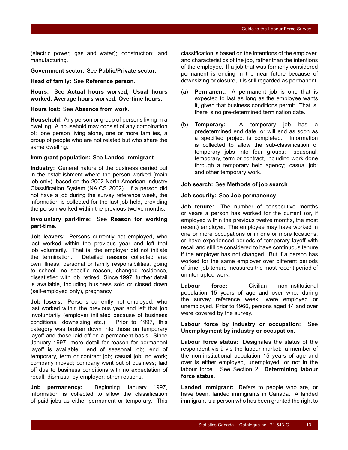(electric power, gas and water); construction; and manufacturing.

**Government sector:** See **Public/Private sector**.

**Head of family:** See **Reference person**.

**Hours:** See **Actual hours worked; Usual hours worked; Average hours worked; Overtime hours.**

#### **Hours lost:** See **Absence from work**.

**Household:** Any person or group of persons living in a dwelling. A household may consist of any combination of: one person living alone, one or more families, a group of people who are not related but who share the same dwelling.

#### **Immigrant population:** See **Landed immigrant**.

**Industry:** General nature of the business carried out in the establishment where the person worked (main job only), based on the 2002 North American Industry Classification System (NAICS 2002). If a person did not have a job during the survey reference week, the information is collected for the last job held, providing the person worked within the previous twelve months.

#### **Involuntary part-time:** See **Reason for working part-time**.

**Job leavers:** Persons currently not employed, who last worked within the previous year and left that job voluntarily. That is, the employer did not initiate the termination. Detailed reasons collected are: own illness, personal or family responsibilities, going to school, no specific reason, changed residence, dissatisfied with job, retired. Since 1997, further detail is available, including business sold or closed down (self-employed only), pregnancy.

**Job losers:** Persons currently not employed, who last worked within the previous year and left that job involuntarily (employer initiated because of business conditions, downsizing etc.). Prior to 1997, this category was broken down into those on temporary layoff and those laid off on a permanent basis. Since January 1997, more detail for reason for permanent layoff is available: end of seasonal job; end of temporary, term or contract job; casual job, no work; company moved; company went out of business; laid off due to business conditions with no expectation of recall; dismissal by employer; other reasons.

**Job permanency:** Beginning January 1997, information is collected to allow the classification of paid jobs as either permanent or temporary. This classification is based on the intentions of the employer, and characteristics of the job, rather than the intentions of the employee. If a job that was formerly considered permanent is ending in the near future because of downsizing or closure, it is still regarded as permanent.

- (a) **Permanent:** A permanent job is one that is expected to last as long as the employee wants it, given that business conditions permit. That is, there is no pre-determined termination date.
- (b) **Temporary:** A temporary job has a predetermined end date, or will end as soon as a specified project is completed. Information is collected to allow the sub-classification of temporary jobs into four groups: seasonal; temporary, term or contract, including work done through a temporary help agency; casual job; and other temporary work.

#### **Job search:** See **Methods of job search**.

#### **Job security:** See **Job permanency**.

**Job tenure:** The number of consecutive months or years a person has worked for the current (or, if employed within the previous twelve months, the most recent) employer. The employee may have worked in one or more occupations or in one or more locations, or have experienced periods of temporary layoff with recall and still be considered to have continuous tenure if the employer has not changed. But if a person has worked for the same employer over different periods of time, job tenure measures the most recent period of uninterrupted work.

**Labour force:** Civilian non-institutional population 15 years of age and over who, during the survey reference week, were employed or unemployed. Prior to 1966, persons aged 14 and over were covered by the survey.

**Labour force by industry or occupation:** See **Unemployment by industry or occupation**.

**Labour force status:** Designates the status of the respondent vis-à-vis the labour market: a member of the non-institutional population 15 years of age and over is either employed, unemployed, or not in the labour force. See Section [2](#page-8-0): **Determining labour force status**.

**Landed immigrant:** Refers to people who are, or have been, landed immigrants in Canada. A landed immigrant is a person who has been granted the right to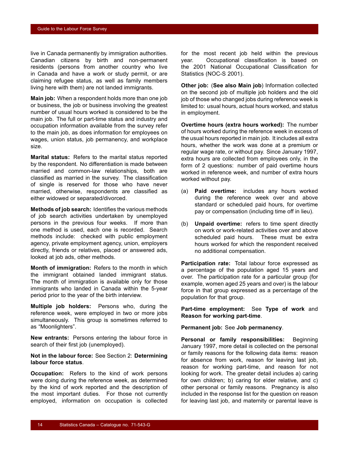live in Canada permanently by immigration authorities. Canadian citizens by birth and non-permanent residents (persons from another country who live in Canada and have a work or study permit, or are claiming refugee status, as well as family members living here with them) are not landed immigrants.

**Main job:** When a respondent holds more than one job or business, the job or business involving the greatest number of usual hours worked is considered to be the main job. The full or part-time status and industry and occupation information available from the survey refer to the main job, as does information for employees on wages, union status, job permanency, and workplace size.

**Marital status:** Refers to the marital status reported by the respondent. No differentiation is made between married and common-law relationships, both are classified as married in the survey. The classification of single is reserved for those who have never married, otherwise, respondents are classified as either widowed or separated/divorced.

**Methods of job search:** Identifies the various methods of job search activities undertaken by unemployed persons in the previous four weeks. If more than one method is used, each one is recorded. Search methods include: checked with public employment agency, private employment agency, union, employers directly, friends or relatives, placed or answered ads, looked at job ads, other methods.

**Month of immigration:** Refers to the month in which the immigrant obtained landed immigrant status. The month of immigration is available only for those immigrants who landed in Canada within the 5-year period prior to the year of the birth interview.

**Multiple job holders:** Persons who, during the reference week, were employed in two or more jobs simultaneously. This group is sometimes referred to as "Moonlighters".

**New entrants:** Persons entering the labour force in search of their first job (unemployed).

#### **Not in the labour force:** See Section [2:](#page-8-0) **Determining labour force status**.

**Occupation:** Refers to the kind of work persons were doing during the reference week, as determined by the kind of work reported and the description of the most important duties. For those not currently employed, information on occupation is collected for the most recent job held within the previous year. Occupational classification is based on the 2001 National Occupational Classification for Statistics (NOC-S 2001).

**Other job:** (**See also Main job**) Information collected on the second job of multiple job holders and the old job of those who changed jobs during reference week is limited to: usual hours, actual hours worked, and status in employment.

**Overtime hours (extra hours worked):** The number of hours worked during the reference week in excess of the usual hours reported in main job. It includes all extra hours, whether the work was done at a premium or regular wage rate, or without pay. Since January 1997, extra hours are collected from employees only, in the form of 2 questions: number of paid overtime hours worked in reference week, and number of extra hours worked without pay.

- (a) **Paid overtime:** includes any hours worked during the reference week over and above standard or scheduled paid hours, for overtime pay or compensation (including time off in lieu).
- (b) **Unpaid overtime:** refers to time spent directly on work or work-related activities over and above scheduled paid hours. These must be extra hours worked for which the respondent received no additional compensation.

**Participation rate:** Total labour force expressed as a percentage of the population aged 15 years and over. The participation rate for a particular group (for example, women aged 25 years and over) is the labour force in that group expressed as a percentage of the population for that group.

**Part-time employment:** See **Type of work** and **Reason for working part-time**.

#### **Permanent job:** See **Job permanency**.

**Personal or family responsibilities:** Beginning January 1997, more detail is collected on the personal or family reasons for the following data items: reason for absence from work, reason for leaving last job, reason for working part-time, and reason for not looking for work. The greater detail includes a) caring for own children; b) caring for elder relative, and c) other personal or family reasons. Pregnancy is also included in the response list for the question on reason for leaving last job, and maternity or parental leave is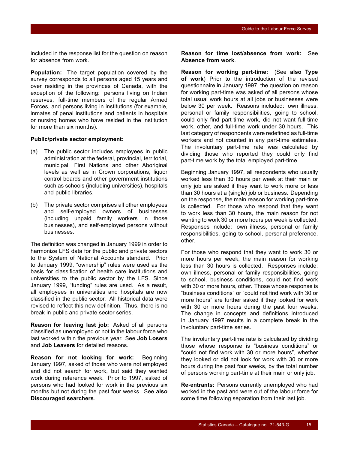included in the response list for the question on reason for absence from work.

**Population:** The target population covered by the survey corresponds to all persons aged 15 years and over residing in the provinces of Canada, with the exception of the following: persons living on Indian reserves, full-time members of the regular Armed Forces, and persons living in institutions (for example, inmates of penal institutions and patients in hospitals or nursing homes who have resided in the institution for more than six months).

#### **Public/private sector employment:**

- (a) The public sector includes employees in public administration at the federal, provincial, territorial, municipal, First Nations and other Aboriginal levels as well as in Crown corporations, liquor control boards and other government institutions such as schools (including universities), hospitals and public libraries.
- (b) The private sector comprises all other employees and self-employed owners of businesses (including unpaid family workers in those businesses), and self-employed persons without businesses.

The definition was changed in January 1999 in order to harmonize LFS data for the public and private sectors to the System of National Accounts standard. Prior to January 1999, "ownership" rules were used as the basis for classification of health care institutions and universities to the public sector by the LFS. Since January 1999, "funding" rules are used. As a result, all employees in universities and hospitals are now classified in the public sector. All historical data were revised to reflect this new definition. Thus, there is no break in public and private sector series.

**Reason for leaving last job:** Asked of all persons classified as unemployed or not in the labour force who last worked within the previous year. See **Job Losers** and **Job Leavers** for detailed reasons.

**Reason for not looking for work:** Beginning January 1997, asked of those who were not employed and did not search for work, but said they wanted work during reference week. Prior to 1997, asked of persons who had looked for work in the previous six months but not during the past four weeks. See **also Discouraged searchers**.

**Reason for time lost/absence from work:** See **Absence from work**.

**Reason for working part-time:** (See **also Type of work**) Prior to the introduction of the revised questionnaire in January 1997, the question on reason for working part-time was asked of all persons whose total usual work hours at all jobs or businesses were below 30 per week. Reasons included: own illness, personal or family responsibilities, going to school, could only find part-time work, did not want full-time work, other, and full-time work under 30 hours. This last category of respondents were redefined as full-time workers and not counted in any part-time estimates. The involuntary part-time rate was calculated by dividing those who reported they could only find part-time work by the total employed part-time.

Beginning January 1997, all respondents who usually worked less than 30 hours per week at their main or only job are asked if they want to work more or less than 30 hours at a (single) job or business. Depending on the response, the main reason for working part-time is collected. For those who respond that they want to work less than 30 hours, the main reason for not wanting to work 30 or more hours per week is collected. Responses include: own illness, personal or family responsibilities, going to school, personal preference, other.

For those who respond that they want to work 30 or more hours per week, the main reason for working less than 30 hours is collected. Responses include: own illness, personal or family responsibilities, going to school, business conditions, could not find work with 30 or more hours, other. Those whose response is "business conditions" or "could not find work with 30 or more hours" are further asked if they looked for work with 30 or more hours during the past four weeks. The change in concepts and definitions introduced in January 1997 results in a complete break in the involuntary part-time series.

The involuntary part-time rate is calculated by dividing those whose response is "business conditions" or "could not find work with 30 or more hours", whether they looked or did not look for work with 30 or more hours during the past four weeks, by the total number of persons working part-time at their main or only job.

**Re-entrants:** Persons currently unemployed who had worked in the past and were out of the labour force for some time following separation from their last job.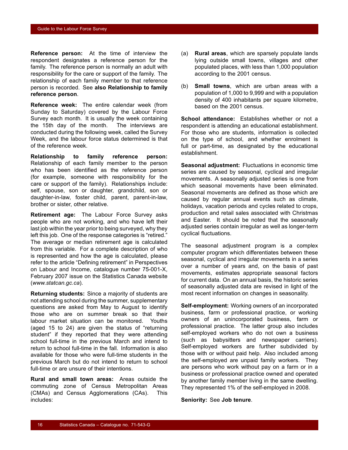**Reference person:** At the time of interview the respondent designates a reference person for the family. The reference person is normally an adult with responsibility for the care or support of the family. The relationship of each family member to that reference person is recorded. See **also Relationship to family reference person**.

**Reference week:** The entire calendar week (from Sunday to Saturday) covered by the Labour Force Survey each month. It is usually the week containing the 15th day of the month. The interviews are conducted during the following week, called the Survey Week, and the labour force status determined is that of the reference week.

**Relationship to family reference person:** Relationship of each family member to the person who has been identified as the reference person (for example, someone with responsibility for the care or support of the family). Relationships include: self, spouse, son or daughter, grandchild, son or daughter-in-law, foster child, parent, parent-in-law, brother or sister, other relative.

**Retirement age:** The Labour Force Survey asks people who are not working, and who have left their last job within the year prior to being surveyed, why they left this job. One of the response categories is "retired." The average or median retirement age is calculated from this variable. For a complete description of who is represented and how the age is calculated, please refer to the article "Defining retirement" in Perspectives on Labour and Income, catalogue number 75-001-X, February 2007 issue on the Statistics Canada website (*www.statcan.gc.ca*).

**Returning students:** Since a majority of students are not attending school during the summer, supplementary questions are asked from May to August to identify those who are on summer break so that their labour market situation can be monitored. Youths (aged 15 to 24) are given the status of "returning student" if they reported that they were attending school full-time in the previous March and intend to return to school full-time in the fall. Information is also available for those who were full-time students in the previous March but do not intend to return to school full-time or are unsure of their intentions.

**Rural and small town areas:** Areas outside the commuting zone of Census Metropolitan Areas (CMAs) and Census Agglomerations (CAs). This includes:

- (a) **Rural areas**, which are sparsely populate lands lying outside small towns, villages and other populated places, with less than 1,000 population according to the 2001 census.
- (b) **Small towns**, which are urban areas with a population of 1,000 to 9,999 and with a population density of 400 inhabitants per square kilometre, based on the 2001 census.

**School attendance:** Establishes whether or not a respondent is attending an educational establishment. For those who are students, information is collected on the type of school, and whether enrolment is full or part-time, as designated by the educational establishment.

**Seasonal adjustment:** Fluctuations in economic time series are caused by seasonal, cyclical and irregular movements. A seasonally adjusted series is one from which seasonal movements have been eliminated. Seasonal movements are defined as those which are caused by regular annual events such as climate, holidays, vacation periods and cycles related to crops, production and retail sales associated with Christmas and Easter. It should be noted that the seasonally adjusted series contain irregular as well as longer-term cyclical fluctuations.

The seasonal adjustment program is a complex computer program which differentiates between these seasonal, cyclical and irregular movements in a series over a number of years and, on the basis of past movements, estimates appropriate seasonal factors for current data. On an annual basis, the historic series of seasonally adjusted data are revised in light of the most recent information on changes in seasonality.

**Self-employment:** Working owners of an incorporated business, farm or professional practice, or working owners of an unincorporated business, farm or professional practice. The latter group also includes self-employed workers who do not own a business (such as babysitters and newspaper carriers). Self-employed workers are further subdivided by those with or without paid help. Also included among the self-employed are unpaid family workers. They are persons who work without pay on a farm or in a business or professional practice owned and operated by another family member living in the same dwelling. They represented 1% of the self-employed in 2008.

#### **Seniority:** See **Job tenure**.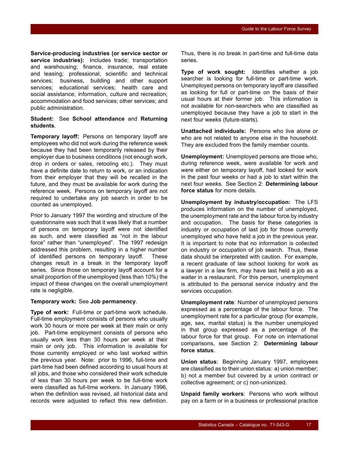**Service-producing industries (or service sector or service industries):** Includes trade; transportation and warehousing; finance, insurance, real estate and leasing; professional, scientific and technical services; business, building and other support services; educational services; health care and social assistance; information, culture and recreation; accommodation and food services; other services; and public administration.

#### **Student:** See **School attendance** and **Returning students**.

**Temporary layoff:** Persons on temporary layoff are employees who did not work during the reference week because they had been temporarily released by their employer due to business conditions (not enough work, drop in orders or sales, retooling etc.). They must have a definite date to return to work, or an indication from their employer that they will be recalled in the future, and they must be available for work during the reference week. Persons on temporary layoff are not required to undertake any job search in order to be counted as unemployed.

Prior to January 1997 the wording and structure of the questionnaire was such that it was likely that a number of persons on temporary layoff were not identified as such, and were classified as "not in the labour force" rather than "unemployed". The 1997 redesign addressed this problem, resulting in a higher number of identified persons on temporary layoff. These changes result in a break in the temporary layoff series. Since those on temporary layoff account for a small proportion of the unemployed (less than 10%) the impact of these changes on the overall unemployment rate is negligible.

#### **Temporary work:** See **Job permanency**.

**Type of work:** Full-time or part-time work schedule. Full-time employment consists of persons who usually work 30 hours or more per week at their main or only job. Part-time employment consists of persons who usually work less than 30 hours per week at their main or only job. This information is available for those currently employed or who last worked within the previous year. Note: prior to 1996, full-time and part-time had been defined according to usual hours at all jobs, and those who considered their work schedule of less than 30 hours per week to be full-time work were classified as full-time workers. In January 1996, when the definition was revised, all historical data and records were adjusted to reflect this new definition. Thus, there is no break in part-time and full-time data series.

**Type of work sought:** Identifies whether a job searcher is looking for full-time or part-time work. Unemployed persons on temporary layoff are classified as looking for full or part-time on the basis of their usual hours at their former job. This information is not available for non-searchers who are classified as unemployed because they have a job to start in the next four weeks (future-starts).

**Unattached individuals:** Persons who live alone or who are not related to anyone else in the household. They are excluded from the family member counts.

**Unemployment:** Unemployed persons are those who, during reference week, were available for work and were either on temporary layoff, had looked for work in the past four weeks or had a job to start within the next four weeks. See Section [2](#page-8-0): **Determining labour force status** for more details.

**Unemployment by industry/occupation:** The LFS produces information on the number of unemployed, the unemployment rate and the labour force by industry and occupation. The basis for these categories is industry or occupation of last job for those currently unemployed who have held a job in the previous year. It is important to note that no information is collected on industry or occupation of job search. Thus, these data should be interpreted with caution. For example, a recent graduate of law school looking for work as a lawyer in a law firm, may have last held a job as a waiter in a restaurant. For this person, unemployment is attributed to the personal service industry and the services occupation.

**Unemployment rate**: Number of unemployed persons expressed as a percentage of the labour force. The unemployment rate for a particular group (for example, age, sex, marital status) is the number unemployed in that group expressed as a percentage of the labour force for that group. For note on international comparisons, see Section [2](#page-8-0): **Determining labour force status**.

**Union status**: Beginning January 1997, employees are classified as to their union status: a) union member; b) not a member but covered by a union contract or collective agreement; or c) non-unionized.

**Unpaid family workers**: Persons who work without pay on a farm or in a business or professional practice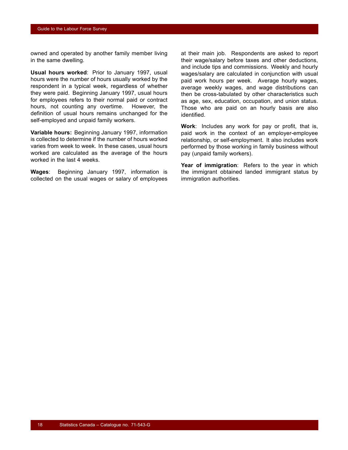owned and operated by another family member living in the same dwelling.

**Usual hours worked**: Prior to January 1997, usual hours were the number of hours usually worked by the respondent in a typical week, regardless of whether they were paid. Beginning January 1997, usual hours for employees refers to their normal paid or contract hours, not counting any overtime. However, the definition of usual hours remains unchanged for the self-employed and unpaid family workers.

**Variable hours:** Beginning January 1997, information is collected to determine if the number of hours worked varies from week to week. In these cases, usual hours worked are calculated as the average of the hours worked in the last 4 weeks.

**Wages**: Beginning January 1997, information is collected on the usual wages or salary of employees at their main job. Respondents are asked to report their wage/salary before taxes and other deductions, and include tips and commissions. Weekly and hourly wages/salary are calculated in conjunction with usual paid work hours per week. Average hourly wages, average weekly wages, and wage distributions can then be cross-tabulated by other characteristics such as age, sex, education, occupation, and union status. Those who are paid on an hourly basis are also identified.

**Work**: Includes any work for pay or profit, that is, paid work in the context of an employer-employee relationship, or self-employment. It also includes work performed by those working in family business without pay (unpaid family workers).

**Year of immigration**: Refers to the year in which the immigrant obtained landed immigrant status by immigration authorities.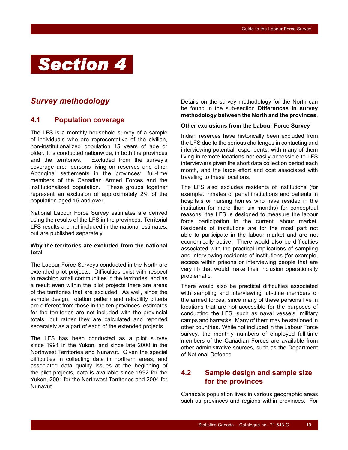<span id="page-20-0"></span>

# *Survey methodology*

## **4.1 Population coverage**

The LFS is a monthly household survey of a sample of individuals who are representative of the civilian, non-institutionalized population 15 years of age or older. It is conducted nationwide, in both the provinces and the territories. Excluded from the survey's coverage are: persons living on reserves and other Aboriginal settlements in the provinces; full-time members of the Canadian Armed Forces and the institutionalized population. These groups together represent an exclusion of approximately 2% of the population aged 15 and over.

National Labour Force Survey estimates are derived using the results of the LFS in the provinces. Territorial LFS results are not included in the national estimates, but are published separately.

#### **Why the territories are excluded from the national total**

The Labour Force Surveys conducted in the North are extended pilot projects. Difficulties exist with respect to reaching small communities in the territories, and as a result even within the pilot projects there are areas of the territories that are excluded. As well, since the sample design, rotation pattern and reliability criteria are different from those in the ten provinces, estimates for the territories are not included with the provincial totals, but rather they are calculated and reported separately as a part of each of the extended projects.

The LFS has been conducted as a pilot survey since 1991 in the Yukon, and since late 2000 in the Northwest Territories and Nunavut. Given the special difficulties in collecting data in northern areas, and associated data quality issues at the beginning of the pilot projects, data is available since 1992 for the Yukon, 2001 for the Northwest Territories and 2004 for Nunavut.

Details on the survey methodology for the North can be found in the sub-section **Differences in survey methodology between the North and the provinces**.

#### **Other exclusions from the Labour Force Survey**

Indian reserves have historically been excluded from the LFS due to the serious challenges in contacting and interviewing potential respondents, with many of them living in remote locations not easily accessible to LFS interviewers given the short data collection period each month, and the large effort and cost associated with traveling to these locations.

The LFS also excludes residents of institutions (for example, inmates of penal institutions and patients in hospitals or nursing homes who have resided in the institution for more than six months) for conceptual reasons; the LFS is designed to measure the labour force participation in the current labour market. Residents of institutions are for the most part not able to participate in the labour market and are not economically active. There would also be difficulties associated with the practical implications of sampling and interviewing residents of institutions (for example, access within prisons or interviewing people that are very ill) that would make their inclusion operationally problematic.

There would also be practical difficulties associated with sampling and interviewing full-time members of the armed forces, since many of these persons live in locations that are not accessible for the purposes of conducting the LFS, such as naval vessels, military camps and barracks. Many of them may be stationed in other countries. While not included in the Labour Force survey, the monthly numbers of employed full-time members of the Canadian Forces are available from other administrative sources, such as the Department of National Defence.

## **4.2 Sample design and sample size for the provinces**

Canada's population lives in various geographic areas such as provinces and regions within provinces. For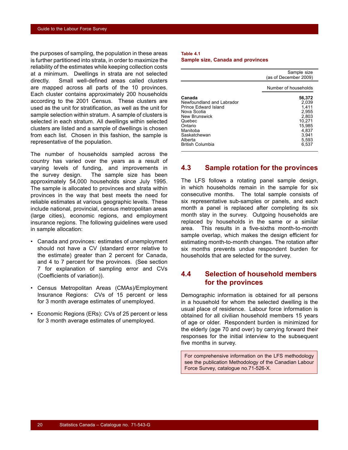<span id="page-21-0"></span>the purposes of sampling, the population in these areas is further partitioned into strata, in order to maximize the reliability of the estimates while keeping collection costs at a minimum. Dwellings in strata are not selected directly. Small well-defined areas called clusters are mapped across all parts of the 10 provinces. Each cluster contains approximately 200 households according to the 2001 Census. These clusters are used as the unit for stratification, as well as the unit for sample selection within stratum. A sample of clusters is selected in each stratum. All dwellings within selected clusters are listed and a sample of dwellings is chosen from each list. Chosen in this fashion, the sample is representative of the population.

The number of households sampled across the country has varied over the years as a result of varying levels of funding, and improvements in the survey design. The sample size has been approximately 54,000 households since July 1995. The sample is allocated to provinces and strata within provinces in the way that best meets the need for reliable estimates at various geographic levels. These include national, provincial, census metropolitan areas (large cities), economic regions, and employment insurance regions. The following guidelines were used in sample allocation:

- Canada and provinces: estimates of unemployment should not have a CV (standard error relative to the estimate) greater than 2 percent for Canada, and 4 to 7 percent for the provinces. (See section [7](#page-27-0) for explanation of sampling error and CVs (Coefficients of variation)).
- Census Metropolitan Areas (CMAs)/Employment Insurance Regions: CVs of 15 percent or less for 3 month average estimates of unemployed.
- Economic Regions (ERs): CVs of 25 percent or less for 3 month average estimates of unemployed*.*

#### **Table 4.1 Sample size, Canada and provinces**

|                                                                                                                                                         | Sample size<br>(as of December 2009)                                                      |
|---------------------------------------------------------------------------------------------------------------------------------------------------------|-------------------------------------------------------------------------------------------|
|                                                                                                                                                         | Number of households                                                                      |
| Canada<br>Newfoundland and Labrador<br>Prince Edward Island<br>Nova Scotia<br>New Brunswick<br>Quebec<br>Ontario<br>Manitoba<br>Saskatchewan<br>Alberta | 56,372<br>2.039<br>1.411<br>2.955<br>2,803<br>10.271<br>15.985<br>4.837<br>3.941<br>5,593 |
| <b>British Columbia</b>                                                                                                                                 | 6,537                                                                                     |

## **4.3 Sample rotation for the provinces**

The LFS follows a rotating panel sample design, in which households remain in the sample for six consecutive months. The total sample consists of six representative sub-samples or panels, and each month a panel is replaced after completing its six month stay in the survey. Outgoing households are replaced by households in the same or a similar area. This results in a five-sixths month-to-month sample overlap, which makes the design efficient for estimating month-to-month changes. The rotation after six months prevents undue respondent burden for households that are selected for the survey.

## **4.4 Selection of household members for the provinces**

Demographic information is obtained for all persons in a household for whom the selected dwelling is the usual place of residence. Labour force information is obtained for all civilian household members 15 years of age or older. Respondent burden is minimized for the elderly (age 70 and over) by carrying forward their responses for the initial interview to the subsequent five months in survey.

For comprehensive information on the LFS methodology see the publication Methodology of the Canadian Labour Force Survey, catalogue no.71-526-X.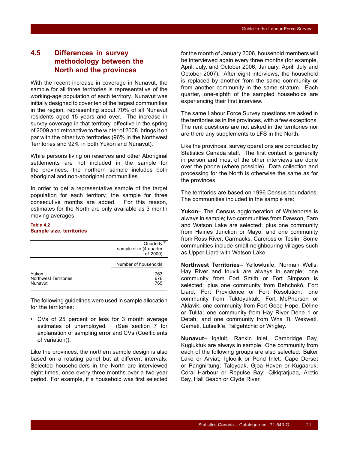## <span id="page-22-0"></span>**4.5 Differences in survey methodology between the North and the provinces**

With the recent increase in coverage in Nunavut, the sample for all three territories is representative of the working-age population of each territory. Nunavut was initially designed to cover ten of the largest communities in the region, representing about 70% of all Nunavut residents aged 15 years and over. The increase in survey coverage in that territory, effective in the spring of 2009 and retroactive to the winter of 2008, brings it on par with the other two territories (96% in the Northwest Territories and 92% in both Yukon and Nunavut).

While persons living on reserves and other Aboriginal settlements are not included in the sample for the provinces, the northern sample includes both aboriginal and non-aboriginal communities.

In order to get a representative sample of the target population for each territory, the sample for three consecutive months are added. For this reason, estimates for the North are only available as 3 month moving averages.

#### **Table 4.2 Sample size, territories**

|                                                  | Quarterly <sup>th</sup><br>sample size (4 quarter<br>of 2009) |
|--------------------------------------------------|---------------------------------------------------------------|
|                                                  | Number of households                                          |
| Yukon<br><b>Northwest Territories</b><br>Nunavut | 763<br>676<br>765                                             |

The following guidelines were used in sample allocation for the territories:

• CVs of 25 percent or less for 3 month average estimates of unemployed*.* (See section [7](#page-27-0) for explanation of sampling error and CVs (Coefficients of variation)).

Like the provinces, the northern sample design is also based on a rotating panel but at different intervals. Selected householders in the North are interviewed eight times, once every three months over a two-year period. For example, if a household was first selected for the month of January 2006, household members will be interviewed again every three months (for example, April, July, and October 2006, January, April, July and October 2007). After eight interviews, the household is replaced by another from the same community or from another community in the same stratum. Each quarter, one-eighth of the sampled households are experiencing their first interview.

The same Labour Force Survey questions are asked in the territories as in the provinces, with a few exceptions. The rent questions are not asked in the territories nor are there any supplements to LFS in the North.

Like the provinces, survey operations are conducted by Statistics Canada staff. The first contact is generally in person and most of the other interviews are done over the phone (where possible). Data collection and processing for the North is otherwise the same as for the provinces.

The territories are based on 1996 Census boundaries. The communities included in the sample are:

**Yukon**– The Census agglomeration of Whitehorse is always in sample; two communities from Dawson, Faro and Watson Lake are selected; plus one community from Haines Junction or Mayo; and one community from Ross River, Carmacks, Carcross or Teslin. Some communities include small neighbouring villages such as Upper Liard with Watson Lake.

**Northwest Territories**– Yellowknife, Norman Wells, Hay River and Inuvik are always in sample; one community from Fort Smith or Fort Simpson is selected; plus one community from Behchokò, Fort Liard, Fort Providence or Fort Resolution; one community from Tuktoyaktuk, Fort McPherson or Aklavik; one community from Fort Good Hope, Déline or Tulita; one community from Hay River Dene 1 or Detah; and one community from Wha Ti, Wekweti, Gamèti, Lutselk'e, Tsiigehtchic or Wrigley.

**Nunavut**– Iqaluit, Rankin Inlet, Cambridge Bay, Kugluktuk are always in sample. One community from each of the following groups are also selected: Baker Lake or Arviat; Igloolik or Pond Inlet; Cape Dorset or Pangnirtung; Taloyoak, Gjoa Haven or Kugaaruk; Coral Harbour or Repulse Bay; Qikiqtarjuaq, Arctic Bay, Hall Beach or Clyde River.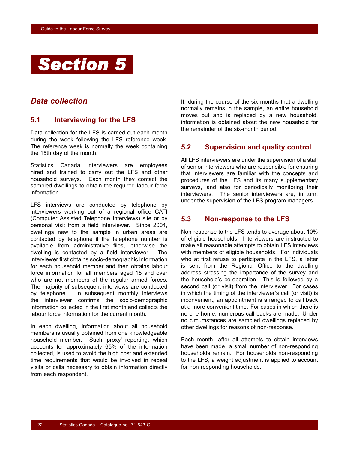<span id="page-23-0"></span>

## *Data collection*

## **5.1 Interviewing for the LFS**

Data collection for the LFS is carried out each month during the week following the LFS reference week. The reference week is normally the week containing the 15th day of the month.

Statistics Canada interviewers are employees hired and trained to carry out the LFS and other household surveys. Each month they contact the sampled dwellings to obtain the required labour force information.

LFS interviews are conducted by telephone by interviewers working out of a regional office CATI (Computer Assisted Telephone Interviews) site or by personal visit from a field interviewer. Since 2004, dwellings new to the sample in urban areas are contacted by telephone if the telephone number is available from administrative files, otherwise the dwelling is contacted by a field interviewer. The interviewer first obtains socio-demographic information for each household member and then obtains labour force information for all members aged 15 and over who are not members of the regular armed forces. The majority of subsequent interviews are conducted by telephone. In subsequent monthly interviews the interviewer confirms the socio-demographic information collected in the first month and collects the labour force information for the current month.

In each dwelling, information about all household members is usually obtained from one knowledgeable household member. Such 'proxy' reporting, which accounts for approximately 65% of the information collected, is used to avoid the high cost and extended time requirements that would be involved in repeat visits or calls necessary to obtain information directly from each respondent.

If, during the course of the six months that a dwelling normally remains in the sample, an entire household moves out and is replaced by a new household, information is obtained about the new household for the remainder of the six-month period.

## **5.2 Supervision and quality control**

All LFS interviewers are under the supervision of a staff of senior interviewers who are responsible for ensuring that interviewers are familiar with the concepts and procedures of the LFS and its many supplementary surveys, and also for periodically monitoring their interviewers. The senior interviewers are, in turn, under the supervision of the LFS program managers.

## **5.3 Non-response to the LFS**

Non-response to the LFS tends to average about 10% of eligible households. Interviewers are instructed to make all reasonable attempts to obtain LFS interviews with members of eligible households. For individuals who at first refuse to participate in the LFS, a letter is sent from the Regional Office to the dwelling address stressing the importance of the survey and the household's co-operation. This is followed by a second call (or visit) from the interviewer. For cases in which the timing of the interviewer's call (or visit) is inconvenient, an appointment is arranged to call back at a more convenient time. For cases in which there is no one home, numerous call backs are made. Under no circumstances are sampled dwellings replaced by other dwellings for reasons of non-response.

Each month, after all attempts to obtain interviews have been made, a small number of non-responding households remain. For households non-responding to the LFS, a weight adjustment is applied to account for non-responding households.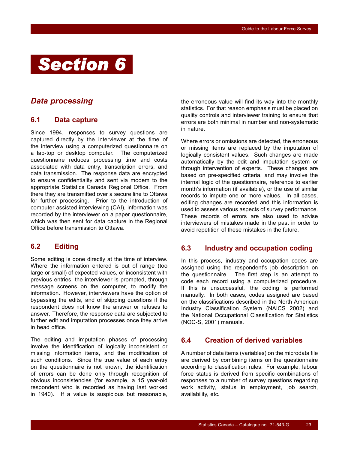<span id="page-24-0"></span>

## *Data processing*

## **6.1 Data capture**

Since 1994, responses to survey questions are captured directly by the interviewer at the time of the interview using a computerized questionnaire on a lap-top or desktop computer. The computerized questionnaire reduces processing time and costs associated with data entry, transcription errors, and data transmission. The response data are encrypted to ensure confidentiality and sent via modem to the appropriate Statistics Canada Regional Office. From there they are transmitted over a secure line to Ottawa for further processing. Prior to the introduction of computer assisted interviewing (CAI), information was recorded by the interviewer on a paper questionnaire, which was then sent for data capture in the Regional Office before transmission to Ottawa.

## **6.2 Editing**

Some editing is done directly at the time of interview. Where the information entered is out of range (too large or small) of expected values, or inconsistent with previous entries, the interviewer is prompted, through message screens on the computer, to modify the information. However, interviewers have the option of bypassing the edits, and of skipping questions if the respondent does not know the answer or refuses to answer. Therefore, the response data are subjected to further edit and imputation processes once they arrive in head office.

The editing and imputation phases of processing involve the identification of logically inconsistent or missing information items, and the modification of such conditions. Since the true value of each entry on the questionnaire is not known, the identification of errors can be done only through recognition of obvious inconsistencies (for example, a 15 year-old respondent who is recorded as having last worked in 1940). If a value is suspicious but reasonable,

the erroneous value will find its way into the monthly statistics. For that reason emphasis must be placed on quality controls and interviewer training to ensure that errors are both minimal in number and non-systematic in nature.

Where errors or omissions are detected, the erroneous or missing items are replaced by the imputation of logically consistent values. Such changes are made automatically by the edit and imputation system or through intervention of experts. These changes are based on pre-specified criteria, and may involve the internal logic of the questionnaire, reference to earlier month's information (if available), or the use of similar records to impute one or more values. In all cases, editing changes are recorded and this information is used to assess various aspects of survey performance. These records of errors are also used to advise interviewers of mistakes made in the past in order to avoid repetition of these mistakes in the future.

## **6.3 Industry and occupation coding**

In this process, industry and occupation codes are assigned using the respondent's job description on the questionnaire. The first step is an attempt to code each record using a computerized procedure. If this is unsuccessful, the coding is performed manually. In both cases, codes assigned are based on the classifications described in the North American Industry Classification System (NAICS 2002) and the National Occupational Classification for Statistics (NOC-S, 2001) manuals.

## **6.4 Creation of derived variables**

A number of data items (variables) on the microdata file are derived by combining items on the questionnaire according to classification rules. For example, labour force status is derived from specific combinations of responses to a number of survey questions regarding work activity, status in employment, job search, availability, etc.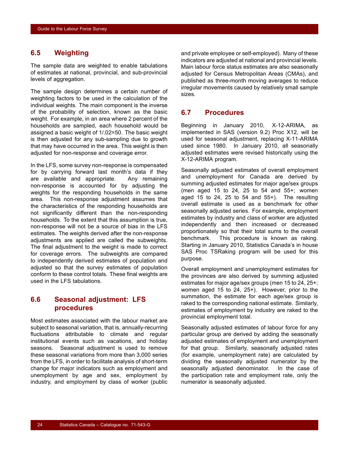## <span id="page-25-0"></span>**6.5 Weighting**

The sample data are weighted to enable tabulations of estimates at national, provincial, and sub-provincial levels of aggregation.

The sample design determines a certain number of weighting factors to be used in the calculation of the individual weights. The main component is the inverse of the probability of selection, known as the basic weight. For example, in an area where 2 percent of the households are sampled, each household would be assigned a basic weight of 1/.02=50. The basic weight is then adjusted for any sub-sampling due to growth that may have occurred in the area. This weight is then adjusted for non-response and coverage error.

In the LFS, some survey non-response is compensated for by carrying forward last month's data if they are available and appropriate. Any remaining non-response is accounted for by adjusting the weights for the responding households in the same area. This non-response adjustment assumes that the characteristics of the responding households are not significantly different than the non-responding households. To the extent that this assumption is true, non-response will not be a source of bias in the LFS estimates. The weights derived after the non-response adjustments are applied are called the subweights. The final adjustment to the weight is made to correct for coverage errors. The subweights are compared to independently derived estimates of population and adjusted so that the survey estimates of population conform to these control totals. These final weights are used in the LFS tabulations.

## **6.6 Seasonal adjustment: LFS procedures**

Most estimates associated with the labour market are subject to seasonal variation, that is, annually-recurring fluctuations attributable to climate and regular institutional events such as vacations, and holiday seasons. Seasonal adjustment is used to remove these seasonal variations from more than 3,000 series from the LFS, in order to facilitate analysis of short-term change for major indicators such as employment and unemployment by age and sex, employment by industry, and employment by class of worker (public

and private employee or self-employed). Many of these indicators are adjusted at national and provincial levels. Main labour force status estimates are also seasonally adjusted for Census Metropolitan Areas (CMAs), and published as three-month moving averages to reduce irregular movements caused by relatively small sample sizes.

## **6.7 Procedures**

Beginning in January 2010, X-12-ARIMA, as implemented in SAS (version 9.2) Proc X12, will be used for seasonal adjustment, replacing X-11-ARIMA used since 1980. In January 2010, all seasonally adjusted estimates were revised historically using the X-12-ARIMA program.

Seasonally adjusted estimates of overall employment and unemployment for Canada are derived by summing adjusted estimates for major age/sex groups (men aged 15 to 24, 25 to 54 and 55+; women aged 15 to 24, 25 to 54 and  $55+$ ). The resulting overall estimate is used as a benchmark for other seasonally adjusted series. For example, employment estimates by industry and class of worker are adjusted independently and then increased or decreased proportionately so that their total sums to the overall benchmark. This procedure is known as raking. Starting in January 2010, Statistics Canada's in house SAS Proc TSRaking program will be used for this purpose.

Overall employment and unemployment estimates for the provinces are also derived by summing adjusted estimates for major age/sex groups (men 15 to 24, 25+; women aged 15 to 24, 25+). However, prior to the summation, the estimate for each age/sex group is raked to the corresponding national estimate. Similarly, estimates of employment by industry are raked to the provincial employment total.

Seasonally adjusted estimates of labour force for any particular group are derived by adding the seasonally adjusted estimates of employment and unemployment for that group. Similarly, seasonally adjusted rates (for example, unemployment rate) are calculated by dividing the seasonally adjusted numerator by the seasonally adjusted denominator. In the case of the participation rate and employment rate, only the numerator is seasonally adjusted.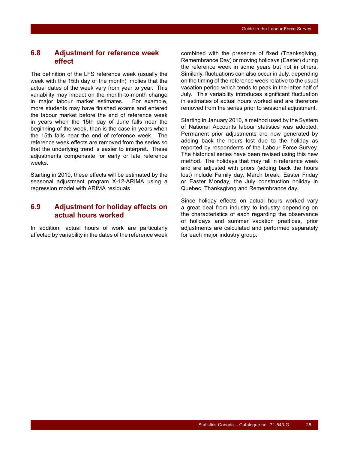## <span id="page-26-0"></span>**6.8 Adjustment for reference week effect**

The definition of the LFS reference week (usually the week with the 15th day of the month) implies that the actual dates of the week vary from year to year. This variability may impact on the month-to-month change in major labour market estimates. For example, more students may have finished exams and entered the labour market before the end of reference week in years when the 15th day of June falls near the beginning of the week, than is the case in years when the 15th falls near the end of reference week. The reference week effects are removed from the series so that the underlying trend is easier to interpret. These adjustments compensate for early or late reference weeks.

Starting in 2010, these effects will be estimated by the seasonal adjustment program X-12-ARIMA using a regression model with ARIMA residuals.

## **6.9 Adjustment for holiday effects on actual hours worked**

In addition, actual hours of work are particularly affected by variability in the dates of the reference week

combined with the presence of fixed (Thanksgiving, Remembrance Day) or moving holidays (Easter) during the reference week in some years but not in others. Similarly, fluctuations can also occur in July, depending on the timing of the reference week relative to the usual vacation period which tends to peak in the latter half of July. This variability introduces significant fluctuation in estimates of actual hours worked and are therefore removed from the series prior to seasonal adjustment.

Starting in January 2010, a method used by the System of National Accounts labour statistics was adopted. Permanent prior adjustments are now generated by adding back the hours lost due to the holiday as reported by respondents of the Labour Force Survey. The historical series have been revised using this new method. The holidays that may fall in reference week and are adjusted with priors (adding back the hours lost) include Family day, March break, Easter Friday or Easter Monday, the July construction holiday in Quebec, Thanksgivng and Remembrance day.

Since holiday effects on actual hours worked vary a great deal from industry to industry depending on the characteristics of each regarding the observance of holidays and summer vacation practices, prior adjustments are calculated and performed separately for each major industry group.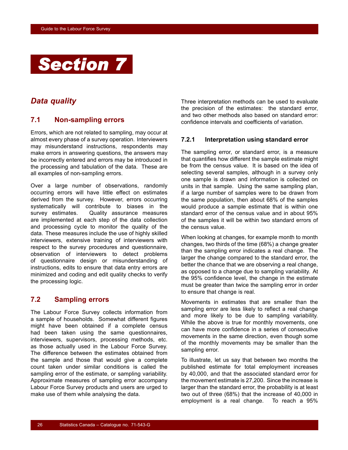<span id="page-27-0"></span>

## *Data quality*

## **7.1 Non-sampling errors**

Errors, which are not related to sampling, may occur at almost every phase of a survey operation. Interviewers may misunderstand instructions, respondents may make errors in answering questions, the answers may be incorrectly entered and errors may be introduced in the processing and tabulation of the data. These are all examples of non-sampling errors.

Over a large number of observations, randomly occurring errors will have little effect on estimates derived from the survey. However, errors occurring systematically will contribute to biases in the survey estimates. Quality assurance measures are implemented at each step of the data collection and processing cycle to monitor the quality of the data. These measures include the use of highly skilled interviewers, extensive training of interviewers with respect to the survey procedures and questionnaire, observation of interviewers to detect problems of questionnaire design or misunderstanding of instructions, edits to ensure that data entry errors are minimized and coding and edit quality checks to verify the processing logic.

## **7.2 Sampling errors**

The Labour Force Survey collects information from a sample of households. Somewhat different figures might have been obtained if a complete census had been taken using the same questionnaires, interviewers, supervisors, processing methods, etc. as those actually used in the Labour Force Survey. The difference between the estimates obtained from the sample and those that would give a complete count taken under similar conditions is called the sampling error of the estimate, or sampling variability. Approximate measures of sampling error accompany Labour Force Survey products and users are urged to make use of them while analysing the data.

Three interpretation methods can be used to evaluate the precision of the estimates: the standard error, and two other methods also based on standard error: confidence intervals and coefficients of variation.

#### **7.2.1 Interpretation using standard error**

The sampling error, or standard error, is a measure that quantifies how different the sample estimate might be from the census value. It is based on the idea of selecting several samples, although in a survey only one sample is drawn and information is collected on units in that sample. Using the same sampling plan, if a large number of samples were to be drawn from the same population, then about 68% of the samples would produce a sample estimate that is within one standard error of the census value and in about 95% of the samples it will be within two standard errors of the census value.

When looking at changes, for example month to month changes, two thirds of the time (68%) a change greater than the sampling error indicates a real change. The larger the change compared to the standard error, the better the chance that we are observing a real change, as opposed to a change due to sampling variability. At the 95% confidence level, the change in the estimate must be greater than twice the sampling error in order to ensure that change is real.

Movements in estimates that are smaller than the sampling error are less likely to reflect a real change and more likely to be due to sampling variability. While the above is true for monthly movements, one can have more confidence in a series of consecutive movements in the same direction, even though some of the monthly movements may be smaller than the sampling error.

To illustrate, let us say that between two months the published estimate for total employment increases by 40,000, and that the associated standard error for the movement estimate is 27,200. Since the increase is larger than the standard error, the probability is at least two out of three (68%) that the increase of 40,000 in employment is a real change. To reach a 95%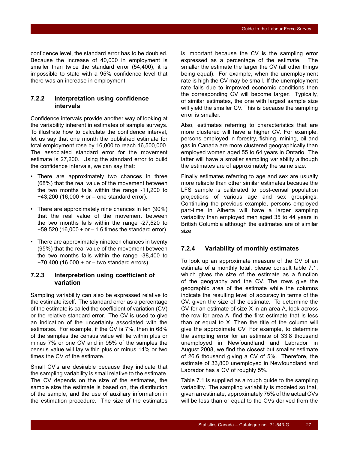confidence level, the standard error has to be doubled. Because the increase of 40,000 in employment is smaller than twice the standard error (54,400), it is impossible to state with a 95% confidence level that there was an increase in employment.

## **7.2.2 Interpretation using confidence intervals**

Confidence intervals provide another way of looking at the variability inherent in estimates of sample surveys. To illustrate how to calculate the confidence interval, let us say that one month the published estimate for total employment rose by 16,000 to reach 16,500,000. The associated standard error for the movement estimate is 27,200. Using the standard error to build the confidence intervals, we can say that:

- There are approximately two chances in three (68%) that the real value of the movement between the two months falls within the range -11,200 to +43,200 (16,000 + or – one standard error).
- There are approximately nine chances in ten (90%) that the real value of the movement between the two months falls within the range -27,520 to +59,520 (16,000 + or – 1.6 times the standard error).
- There are approximately nineteen chances in twenty (95%) that the real value of the movement between the two months falls within the range -38,400 to +70,400 (16,000 + or – two standard errors).

### **7.2.3 Interpretation using coefficient of variation**

Sampling variability can also be expressed relative to the estimate itself. The standard error as a percentage of the estimate is called the coefficient of variation (CV) or the relative standard error. The CV is used to give an indication of the uncertainty associated with the estimates. For example, if the CV is 7%, then in 68% of the samples the census value will lie within plus or minus 7% or one CV and in 95% of the samples the census value will lay within plus or minus 14% or two times the CV of the estimate.

Small CV's are desirable because they indicate that the sampling variability is small relative to the estimate. The CV depends on the size of the estimates, the sample size the estimate is based on, the distribution of the sample, and the use of auxiliary information in the estimation procedure. The size of the estimates is important because the CV is the sampling error expressed as a percentage of the estimate. The smaller the estimate the larger the CV (all other things being equal). For example, when the unemployment rate is high the CV may be small. If the unemployment rate falls due to improved economic conditions then the corresponding CV will become larger. Typically, of similar estimates, the one with largest sample size will yield the smaller CV. This is because the sampling error is smaller.

Also, estimates referring to characteristics that are more clustered will have a higher CV. For example, persons employed in forestry, fishing, mining, oil and gas in Canada are more clustered geographically than employed women aged 55 to 64 years in Ontario. The latter will have a smaller sampling variability although the estimates are of approximately the same size.

Finally estimates referring to age and sex are usually more reliable than other similar estimates because the LFS sample is calibrated to post-censal population projections of various age and sex groupings. Continuing the previous example, persons employed part-time in Alberta will have a larger sampling variability than employed men aged 35 to 44 years in British Columbia although the estimates are of similar size.

#### **7.2.4 Variability of monthly estimates**

To look up an approximate measure of the CV of an estimate of a monthly total, please consult table [7.1,](#page-29-0) which gives the size of the estimate as a function of the geography and the CV. The rows give the geographic area of the estimate while the columns indicate the resulting level of accuracy in terms of the CV, given the size of the estimate. To determine the CV for an estimate of size X in an area A, look across the row for area A, find the first estimate that is less than or equal to X. Then the title of the column will give the approximate CV. For example, to determine the sampling error for an estimate of 33.8 thousand unemployed in Newfoundland and Labrador in August 2008, we find the closest but smaller estimate of 26.6 thousand giving a CV of 5%. Therefore, the estimate of 33,800 unemployed in Newfoundland and Labrador has a CV of roughly 5%.

Table [7.1](#page-29-0) is supplied as a rough guide to the sampling variability. The sampling variability is modeled so that, given an estimate, approximately 75% of the actual CVs will be less than or equal to the CVs derived from the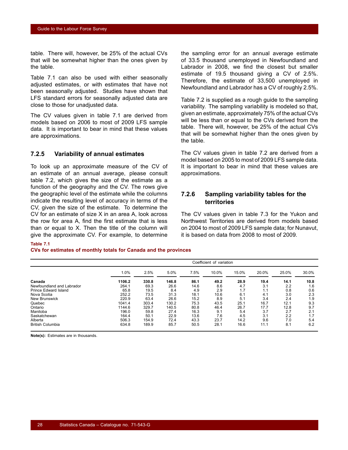<span id="page-29-0"></span>table. There will, however, be 25% of the actual CVs that will be somewhat higher than the ones given by the table.

Table 7.1 can also be used with either seasonally adjusted estimates, or with estimates that have not been seasonally adjusted. Studies have shown that LFS standard errors for seasonally adjusted data are close to those for unadjusted data.

The CV values given in table 7.1 are derived from models based on 2006 to most of 2009 LFS sample data. It is important to bear in mind that these values are approximations.

### **7.2.5 Variability of annual estimates**

To look up an approximate measure of the CV of an estimate of an annual average, please consult table [7.2](#page-30-0), which gives the size of the estimate as a function of the geography and the CV. The rows give the geographic level of the estimate while the columns indicate the resulting level of accuracy in terms of the CV, given the size of the estimate. To determine the CV for an estimate of size X in an area A, look across the row for area A, find the first estimate that is less than or equal to X. Then the title of the column will give the approximate CV. For example, to determine

the sampling error for an annual average estimate of 33.5 thousand unemployed in Newfoundland and Labrador in 2008, we find the closest but smaller estimate of 19.5 thousand giving a CV of 2.5%. Therefore, the estimate of 33,500 unemployed in Newfoundland and Labrador has a CV of roughly 2.5%.

Table [7.2](#page-30-0) is supplied as a rough guide to the sampling variability. The sampling variability is modeled so that, given an estimate, approximately 75% of the actual CVs will be less than or equal to the CVs derived from the table. There will, however, be 25% of the actual CVs that will be somewhat higher than the ones given by the table.

The CV values given in table [7.2](#page-30-0) are derived from a model based on 2005 to most of 2009 LFS sample data. It is important to bear in mind that these values are approximations.

#### **7.2.6 Sampling variability tables for the territories**

The CV values given in table [7.3](#page-30-0) for the Yukon and Northwest Territories are derived from models based on 2004 to most of 2009 LFS sample data; for Nunavut, it is based on data from 2008 to most of 2009.

#### **Table 7.1**

#### **CVs for estimates of monthly totals for Canada and the provinces**

|                           | Coefficient of variation |       |       |      |       |       |       |       |       |
|---------------------------|--------------------------|-------|-------|------|-------|-------|-------|-------|-------|
|                           | 1.0%                     | 2.5%  | 5.0%  | 7.5% | 10.0% | 15.0% | 20.0% | 25.0% | 30.0% |
| Canada                    | 1106.2                   | 330.8 | 146.8 | 86.1 | 49.2  | 28.9  | 19.4  | 14.1  | 10.8  |
| Newfoundland and Labrador | 264.1                    | 69.3  | 26.6  | 14.6 | 8.6   | 4.7   | 3.1   | 2.2   | 1.6   |
| Prince Edward Island      | 65.8                     | 19.5  | 8.4   | 4.9  | 2.9   | 1.7   | 1.1   | 0.8   | 0.6   |
| Nova Scotia               | 252.2                    | 73.5  | 31.3  | 18.1 | 10.6  | 6.1   | 4.1   | 3.0   | 2.3   |
| New Brunswick             | 220.9                    | 63.4  | 26.6  | 15.2 | 8.9   | 5.1   | 3.4   | 2.4   | 1.9   |
| Quebec                    | 1041.4                   | 303.4 | 130.2 | 75.3 | 43.5  | 25.1  | 16.7  | 12.1  | 9.3   |
| Ontario                   | 1144.6                   | 329.7 | 140.5 | 80.8 | 46.4  | 26.7  | 17.7  | 12.8  | 9.7   |
| Manitoba                  | 196.0                    | 59.8  | 27.4  | 16.3 | 9.1   | 5.4   | 3.7   | 2.7   | 2.1   |
| Saskatchewan              | 164.4                    | 50.1  | 22.9  | 13.6 | 7.6   | 4.5   | 3.1   | 2.2   | 1.7   |
| Alberta                   | 506.3                    | 154.9 | 72.4  | 43.3 | 23.7  | 14.2  | 9.6   | 7.0   | 5.4   |
| <b>British Columbia</b>   | 634.8                    | 189.9 | 85.7  | 50.5 | 28.1  | 16.6  | 11.1  | 8.1   | 6.2   |

**Note(s):** Estimates are in thousands.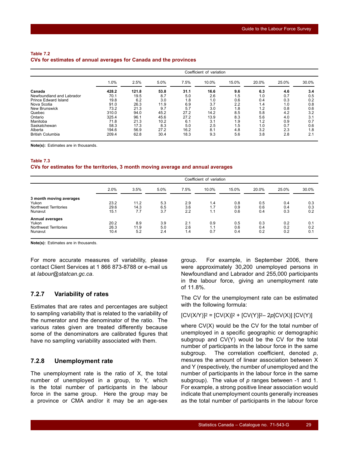#### <span id="page-30-0"></span>**Table 7.2 CVs for estimates of annual averages for Canada and the provinces**

|                           | Coefficient of variation |       |      |      |       |       |       |       |       |  |
|---------------------------|--------------------------|-------|------|------|-------|-------|-------|-------|-------|--|
|                           | 1.0%                     | 2.5%  | 5.0% | 7.5% | 10.0% | 15.0% | 20.0% | 25.0% | 30.0% |  |
| Canada                    | 428.2                    | 121.8 | 53.8 | 31.1 | 16.6  | 9.6   | 6.3   | 4.6   | 3.4   |  |
| Newfoundland and Labrador | 70.1                     | 19.5  | 8.7  | 5.0  | 2.6   | 1.5   | 1.0   | 0.7   | 0.5   |  |
| Prince Edward Island      | 19.8                     | 6.2   | 3.0  | 1.8  | 1.0   | 0.6   | 0.4   | 0.3   | 0.2   |  |
| Nova Scotia               | 91.0                     | 26.3  | 11.9 | 6.9  | 3.7   | 2.2   | 1.4   | 1.0   | 0.8   |  |
| New Brunswick             | 73.2                     | 21.3  | 9.7  | 5.7  | 3.0   | 1.8   | 1.2   | 0.8   | 0.6   |  |
| Quebec                    | 310.0                    | 94.0  | 45.2 | 27.2 | 14.2  | 8.5   | 5.8   | 4.2   | 3.2   |  |
| Ontario                   | 325.4                    | 96.1  | 45.6 | 27.2 | 13.9  | 8.3   | 5.6   | 4.0   | 3.1   |  |
| Manitoba                  | 71.8                     | 21.3  | 10.2 | 6.1  | 3.1   | 1.9   | 1.2   | 0.9   | 0.7   |  |
| Saskatchewan              | 58.3                     | 17.3  | 8.3  | 5.0  | 2.5   | 1.5   | 1.0   | 0.7   | 0.6   |  |
| Alberta                   | 194.6                    | 56.9  | 27.2 | 16.2 | 8.1   | 4.8   | 3.2   | 2.3   | 1.8   |  |
| <b>British Columbia</b>   | 209.4                    | 62.8  | 30.4 | 18.3 | 9.3   | 5.6   | 3.8   | 2.8   | 2.1   |  |

**Note(s):** Estimates are in thousands.

#### **Table 7.3 CVs for estimates for the territories, 3 month moving average and annual averages**

|                         | Coefficient of variation |      |      |      |       |       |       |       |       |  |
|-------------------------|--------------------------|------|------|------|-------|-------|-------|-------|-------|--|
|                         | 2.0%                     | 3.5% | 5.0% | 7.5% | 10.0% | 15.0% | 20.0% | 25.0% | 30.0% |  |
| 3 month moving averages |                          |      |      |      |       |       |       |       |       |  |
| Yukon                   | 23.2                     | 11.2 | 5.3  | 2.9  | 1.4   | 0.8   | 0.5   | 0.4   | 0.3   |  |
| Northwest Territories   | 29.6                     | 14.3 | 6.5  | 3.6  | 1.7   | 0.9   | 0.6   | 0.4   | 0.3   |  |
| Nunavut                 | 15.1                     | 7.7  | 3.7  | 2.2  | 1.1   | 0.6   | 0.4   | 0.3   | 0.2   |  |
| <b>Annual averages</b>  |                          |      |      |      |       |       |       |       |       |  |
| Yukon                   | 20.2                     | 8.9  | 3.9  | 2.1  | 0.9   | 0.5   | 0.3   | 0.2   | 0.1   |  |
| Northwest Territories   | 26.3                     | 11.9 | 5.0  | 2.6  | 1.1   | 0.6   | 0.4   | 0.2   | 0.2   |  |
| Nunavut                 | 10.4                     | 5.2  | 2.4  | 1.4  | 0.7   | 0.4   | 0.2   | 0.2   | 0.1   |  |
|                         |                          |      |      |      |       |       |       |       |       |  |

**Note(s):** Estimates are in thousands.

For more accurate measures of variability, please contact Client Services at 1 866 873-8788 or e-mail us at *labour@statcan.gc.ca*.

### **7.2.7 Variability of rates**

Estimates that are rates and percentages are subject to sampling variability that is related to the variability of the numerator and the denominator of the ratio. The various rates given are treated differently because some of the denominators are calibrated figures that have no sampling variability associated with them.

#### **7.2.8 Unemployment rate**

The unemployment rate is the ratio of X, the total number of unemployed in a group, to Y, which is the total number of participants in the labour force in the same group. Here the group may be a province or CMA and/or it may be an age-sex group. For example, in September 2006, there were approximately 30,200 unemployed persons in Newfoundland and Labrador and 255,000 participants in the labour force, giving an unemployment rate of 11.8%.

The CV for the unemployment rate can be estimated with the following formula:

#### $[CV(X/Y)]^2 = [CV(X)]^2 + [CV(Y)]^2 - 2p[CV(X)] [CV(Y)]$

where CV(X) would be the CV for the total number of unemployed in a specific geographic or demographic subgroup and CV(Y) would be the CV for the total number of participants in the labour force in the same subgroup. The correlation coefficient, denoted *p*, mesures the amount of linear association between X and Y (respectively, the number of unemployed and the number of participants in the labour force in the same subgroup). The value of *p* ranges between -1 and 1. For example, a strong positive linear association would indicate that unemployment counts generally increases as the total number of participants in the labour force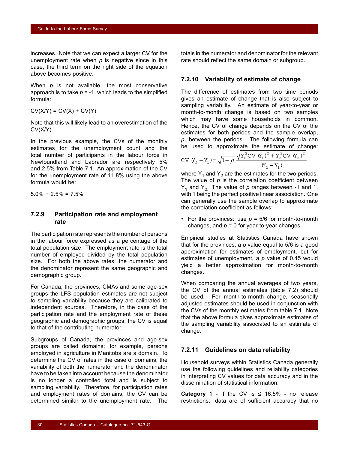increases. Note that we can expect a larger CV for the unemployment rate when *p* is negative since in this case, the third term on the right side of the equation above becomes positive.

When *p* is not available, the most conservative approach is to take  $p = -1$ , which leads to the simplified formula:

 $CV(X/Y) = CV(X) + CV(Y)$ 

Note that this will likely lead to an overestimation of the CV(X/Y).

In the previous example, the CVs of the monthly estimates for the unemployment count and the total number of participants in the labour force in Newfoundland and Labrador are respectively 5% and 2.5% from Table 7.1. An approximation of the CV for the unemployment rate of 11.8% using the above formula would be:

 $5.0\% + 2.5\% = 7.5\%$ 

#### **7.2.9 Participation rate and employment rate**

The participation rate represents the number of persons in the labour force expressed as a percentage of the total population size. The employment rate is the total number of employed divided by the total population size. For both the above rates, the numerator and the denominator represent the same geographic and demographic group.

For Canada, the provinces, CMAs and some age-sex groups the LFS population estimates are not subject to sampling variability because they are calibrated to independent sources. Therefore, in the case of the participation rate and the employment rate of these geographic and demographic groups, the CV is equal to that of the contributing numerator.

Subgroups of Canada, the provinces and age-sex groups are called domains; for example, persons employed in agriculture in Manitoba are a domain. To determine the CV of rates in the case of domains, the variability of both the numerator and the denominator have to be taken into account because the denominator is no longer a controlled total and is subject to sampling variability. Therefore, for participation rates and employment rates of domains, the CV can be determined similar to the unemployment rate. The totals in the numerator and denominator for the relevant rate should reflect the same domain or subgroup.

#### **7.2.10 Variability of estimate of change**

The difference of estimates from two time periods gives an estimate of change that is also subject to sampling variability. An estimate of year-to-year or month-to-month change is based on two samples which may have some households in common. Hence, the CV of change depends on the CV of the estimates for both periods and the sample overlap, *p*, between the periods. The following formula can be used to approximate the estimate of change:

$$
CV (X2 - Y1) = \sqrt{1 - \rho} \frac{\sqrt{Y_1^2 CV (X_1)^2 + Y_2^2 CV (X_2)^2}}{(X_2 - Y_1)}
$$

where  $Y_1$  and  $Y_2$  are the estimates for the two periods. The value of  $p$  is the correlation coefficient between  $Y_1$  and  $Y_2$ . The value of  $p$  ranges between -1 and 1, with 1 being the perfect positive linear association. One can generally use the sample overlap to approximate the correlation coefficient as follows:

• For the provinces: use  $p = 5/6$  for month-to-month changes, and  $p = 0$  for year-to-year changes.

Empirical studies at Statistics Canada have shown that for the provinces, a *p* value equal to 5/6 is a good approximation for estimates of employment, but for estimates of unemployment, a *p* value of 0.45 would yield a better approximation for month-to-month changes.

When comparing the annual averages of two years, the CV of the annual estimates (table [7.2](#page-30-0)) should be used. For month-to-month change, seasonally adjusted estimates should be used in conjunction with the CVs of the monthly estimates from table [7.1](#page-29-0). Note that the above formula gives approximate estimates of the sampling variability associated to an estimate of change.

#### **7.2.11 Guidelines on data reliability**

Household surveys within Statistics Canada generally use the following guidelines and reliability categories in interpreting CV values for data accuracy and in the dissemination of statistical information.

**Category 1** - If the CV is  $\leq$  16.5% - no release restrictions: data are of sufficient accuracy that no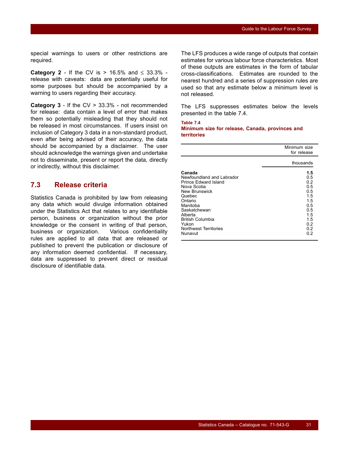<span id="page-32-0"></span>special warnings to users or other restrictions are required.

**Category 2** - If the CV is > 16.5% and ≤ 33.3% release with caveats: data are potentially useful for some purposes but should be accompanied by a warning to users regarding their accuracy.

**Category 3** - If the CV > 33.3% - not recommended for release: data contain a level of error that makes them so potentially misleading that they should not be released in most circumstances. If users insist on inclusion of Category 3 data in a non-standard product, even after being advised of their accuracy, the data should be accompanied by a disclaimer. The user should acknowledge the warnings given and undertake not to disseminate, present or report the data, directly or indirectly, without this disclaimer.

## **7.3 Release criteria**

Statistics Canada is prohibited by law from releasing any data which would divulge information obtained under the Statistics Act that relates to any identifiable person, business or organization without the prior knowledge or the consent in writing of that person, business or organization. Various confidentiality rules are applied to all data that are released or published to prevent the publication or disclosure of any information deemed confidential. If necessary, data are suppressed to prevent direct or residual disclosure of identifiable data.

The LFS produces a wide range of outputs that contain estimates for various labour force characteristics. Most of these outputs are estimates in the form of tabular cross-classifications. Estimates are rounded to the nearest hundred and a series of suppression rules are used so that any estimate below a minimum level is not released.

The LFS suppresses estimates below the levels presented in the table 7.4.

# **Table 7.4**

**Minimum size for release, Canada, provinces and territories**

|                                                                                                                                                                                                                                 | Minimum size<br>for release                                                                    |
|---------------------------------------------------------------------------------------------------------------------------------------------------------------------------------------------------------------------------------|------------------------------------------------------------------------------------------------|
|                                                                                                                                                                                                                                 | thousands                                                                                      |
| Canada<br>Newfoundland and Labrador<br>Prince Edward Island<br>Nova Scotia<br>New Brunswick<br>Quebec<br>Ontario<br>Manitoba<br>Saskatchewan<br>Alberta<br><b>British Columbia</b><br>Yukon<br>Northwest Territories<br>Nunavut | 1.5<br>0.5<br>0.2<br>0.5<br>0.5<br>1.5<br>1.5<br>0.5<br>0.5<br>1.5<br>1.5<br>0.2<br>0.2<br>0.2 |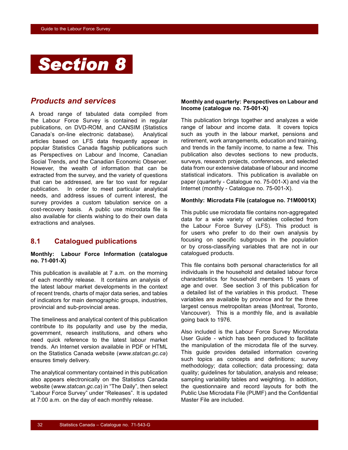<span id="page-33-0"></span>

## *Products and services*

A broad range of tabulated data compiled from the Labour Force Survey is contained in regular publications, on DVD-ROM, and CANSIM (Statistics Canada's on-line electronic database). Analytical articles based on LFS data frequently appear in popular Statistics Canada flagship publications such as Perspectives on Labour and Income, Canadian Social Trends, and the Canadian Economic Observer. However, the wealth of information that can be extracted from the survey, and the variety of questions that can be addressed, are far too vast for regular publication. In order to meet particular analytical needs, and address issues of current interest, the survey provides a custom tabulation service on a cost-recovery basis. A public use microdata file is also available for clients wishing to do their own data extractions and analyses.

## **8.1 Catalogued publications**

#### **Monthly: Labour Force Information (catalogue no. 71-001-X)**

This publication is available at 7 a.m. on the morning of each monthly release. It contains an analysis of the latest labour market developments in the context of recent trends, charts of major data series, and tables of indicators for main demographic groups, industries, provincial and sub-provincial areas.

The timeliness and analytical content of this publication contribute to its popularity and use by the media, government, research institutions, and others who need quick reference to the latest labour market trends. An Internet version available in PDF or HTML on the Statistics Canada website (*www.statcan.gc.ca*) ensures timely delivery.

The analytical commentary contained in this publication also appears electronically on the Statistics Canada website (*www.statcan.gc.ca*) in "The Daily", then select "Labour Force Survey" under "Releases". It is updated at 7:00 a.m. on the day of each monthly release.

#### **Monthly and quarterly: Perspectives on Labour and Income (catalogue no. 75-001-X)**

This publication brings together and analyzes a wide range of labour and income data. It covers topics such as youth in the labour market, pensions and retirement, work arrangements, education and training, and trends in the family income, to name a few. This publication also devotes sections to new products, surveys, research projects, conferences, and selected data from our extensive database of labour and income statistical indicators. This publication is available on paper (quarterly - Catalogue no. 75-001-X) and via the Internet (monthly - Catalogue no. 75-001-X).

#### **Monthly: Microdata File (catalogue no. 71M0001X)**

This public use microdata file contains non-aggregated data for a wide variety of variables collected from the Labour Force Survey (LFS). This product is for users who prefer to do their own analysis by focusing on specific subgroups in the population or by cross-classifying variables that are not in our catalogued products.

This file contains both personal characteristics for all individuals in the household and detailed labour force characteristics for household members 15 years of age and over. See section [3](#page-11-0) of this publication for a detailed list of the variables in this product. These variables are available by province and for the three largest census metropolitan areas (Montreal, Toronto, Vancouver). This is a monthly file, and is available going back to 1976.

Also included is the Labour Force Survey Microdata User Guide - which has been produced to facilitate the manipulation of the microdata file of the survey. This guide provides detailed information covering such topics as concepts and definitions; survey methodology; data collection; data processing; data quality; guidelines for tabulation, analysis and release; sampling variability tables and weighting. In addition, the questionnaire and record layouts for both the Public Use Microdata File (PUMF) and the Confidential Master File are included.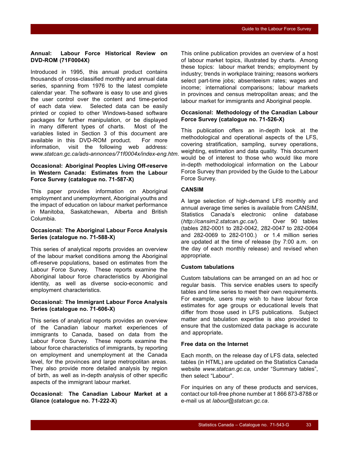#### **Annual: Labour Force Historical Review on DVD-ROM (71F0004X)**

Introduced in 1995, this annual product contains thousands of cross-classified monthly and annual data series, spanning from 1976 to the latest complete calendar year. The software is easy to use and gives the user control over the content and time-period of each data view. Selected data can be easily printed or copied to other Windows-based software packages for further manipulation, or be displayed in many different types of charts. Most of the variables listed in Section [3](#page-11-0) of this document are available in this DVD-ROM product. For more information, visit the following web address: *www.statcan.gc.ca/ads-annonces/71f0004x/index-eng.htm*.

#### **Occasional: Aboriginal Peoples Living Off-reserve in Western Canada: Estimates from the Labour Force Survey (catalogue no. 71-587-X)**

This paper provides information on Aboriginal employment and unemployment, Aboriginal youths and the impact of education on labour market performance in Manitoba, Saskatchewan, Alberta and British Columbia.

#### **Occasional: The Aboriginal Labour Force Analysis Series (catalogue no. 71-588-X)**

This series of analytical reports provides an overview of the labour market conditions among the Aboriginal off-reserve populations, based on estimates from the Labour Force Survey. These reports examine the Aboriginal labour force characteristics by Aboriginal identity, as well as diverse socio-economic and employment characteristics.

#### **Occasional: The Immigrant Labour Force Analysis Series (catalogue no. 71-606-X)**

This series of analytical reports provides an overview of the Canadian labour market experiences of immigrants to Canada, based on data from the Labour Force Survey. These reports examine the labour force characteristics of immigrants, by reporting on employment and unemployment at the Canada level, for the provinces and large metropolitan areas. They also provide more detailed analysis by region of birth, as well as in-depth analysis of other specific aspects of the immigrant labour market.

**Occasional: The Canadian Labour Market at a Glance (catalogue no. 71-222-X)**

This online publication provides an overview of a host of labour market topics, illustrated by charts. Among these topics: labour market trends; employment by industry; trends in workplace training; reasons workers select part-time jobs; absenteeism rates; wages and income; international comparisons; labour markets in provinces and census metropolitan areas; and the labour market for immigrants and Aboriginal people.

#### **Occasional: Methodology of the Canadian Labour Force Survey (catalogue no. 71-526-X)**

This publication offers an in-depth look at the methodological and operational aspects of the LFS, covering stratification, sampling, survey operations, weighting, estimation and data quality. This document would be of interest to those who would like more in-depth methodological information on the Labour Force Survey than provided by the Guide to the Labour Force Survey.

#### **CANSIM**

A large selection of high-demand LFS monthly and annual average time series is available from CANSIM, Statistics Canada's electronic online database (*http://cansim2.statcan.gc.ca/*). Over 90 tables (tables 282-0001 to 282-0042, 282-0047 to 282-0064 and 282-0069 to 282-0100.) or 1.4 million series are updated at the time of release (by 7:00 a.m. on the day of each monthly release) and revised when appropriate.

#### **Custom tabulations**

Custom tabulations can be arranged on an ad hoc or regular basis. This service enables users to specify tables and time series to meet their own requirements. For example, users may wish to have labour force estimates for age groups or educational levels that differ from those used in LFS publications. Subject matter and tabulation expertise is also provided to ensure that the customized data package is accurate and appropriate**.**

#### **Free data on the Internet**

Each month, on the release day of LFS data, selected tables (in HTML) are updated on the Statistics Canada website *www.statcan.gc.ca*, under "Summary tables", then select "Labour".

For inquiries on any of these products and services, contact our toll-free phone number at 1 866 873-8788 or e-mail us at *labour@statcan.gc.ca*.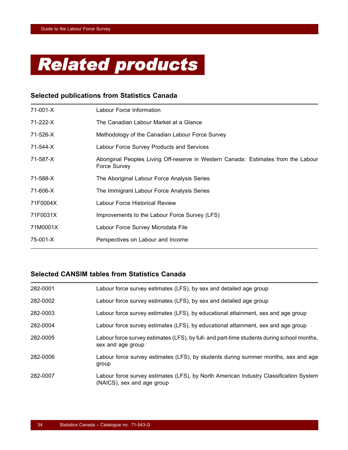<span id="page-35-0"></span>

## **Selected publications from Statistics Canada**

| 71-001-X | Labour Force Information                                                                           |
|----------|----------------------------------------------------------------------------------------------------|
| 71-222-X | The Canadian Labour Market at a Glance                                                             |
| 71-526-X | Methodology of the Canadian Labour Force Survey                                                    |
| 71-544-X | Labour Force Survey Products and Services                                                          |
| 71-587-X | Aboriginal Peoples Living Off-reserve in Western Canada: Estimates from the Labour<br>Force Survey |
| 71-588-X | The Aboriginal Labour Force Analysis Series                                                        |
| 71-606-X | The Immigrant Labour Force Analysis Series                                                         |
| 71F0004X | Labour Force Historical Review                                                                     |
| 71F0031X | Improvements to the Labour Force Survey (LFS)                                                      |
| 71M0001X | Labour Force Survey Microdata File                                                                 |
| 75-001-X | Perspectives on Labour and Income                                                                  |

## **Selected CANSIM tables from Statistics Canada**

| 282-0001 | Labour force survey estimates (LFS), by sex and detailed age group                                                  |
|----------|---------------------------------------------------------------------------------------------------------------------|
| 282-0002 | Labour force survey estimates (LFS), by sex and detailed age group                                                  |
| 282-0003 | Labour force survey estimates (LFS), by educational attainment, sex and age group                                   |
| 282-0004 | Labour force survey estimates (LFS), by educational attainment, sex and age group                                   |
| 282-0005 | Labour force survey estimates (LFS), by full- and part-time students during school months,<br>sex and age group     |
| 282-0006 | Labour force survey estimates (LFS), by students during summer months, sex and age<br>group                         |
| 282-0007 | Labour force survey estimates (LFS), by North American Industry Classification System<br>(NAICS), sex and age group |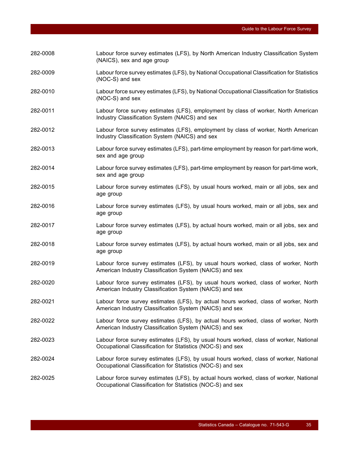| 282-0008 | Labour force survey estimates (LFS), by North American Industry Classification System<br>(NAICS), sex and age group                                  |
|----------|------------------------------------------------------------------------------------------------------------------------------------------------------|
| 282-0009 | Labour force survey estimates (LFS), by National Occupational Classification for Statistics<br>(NOC-S) and sex                                       |
| 282-0010 | Labour force survey estimates (LFS), by National Occupational Classification for Statistics<br>(NOC-S) and sex                                       |
| 282-0011 | Labour force survey estimates (LFS), employment by class of worker, North American<br>Industry Classification System (NAICS) and sex                 |
| 282-0012 | Labour force survey estimates (LFS), employment by class of worker, North American<br>Industry Classification System (NAICS) and sex                 |
| 282-0013 | Labour force survey estimates (LFS), part-time employment by reason for part-time work,<br>sex and age group                                         |
| 282-0014 | Labour force survey estimates (LFS), part-time employment by reason for part-time work,<br>sex and age group                                         |
| 282-0015 | Labour force survey estimates (LFS), by usual hours worked, main or all jobs, sex and<br>age group                                                   |
| 282-0016 | Labour force survey estimates (LFS), by usual hours worked, main or all jobs, sex and<br>age group                                                   |
| 282-0017 | Labour force survey estimates (LFS), by actual hours worked, main or all jobs, sex and<br>age group                                                  |
| 282-0018 | Labour force survey estimates (LFS), by actual hours worked, main or all jobs, sex and<br>age group                                                  |
| 282-0019 | Labour force survey estimates (LFS), by usual hours worked, class of worker, North<br>American Industry Classification System (NAICS) and sex        |
| 282-0020 | Labour force survey estimates (LFS), by usual hours worked, class of worker, North<br>American Industry Classification System (NAICS) and sex        |
| 282-0021 | Labour force survey estimates (LFS), by actual hours worked, class of worker, North<br>American Industry Classification System (NAICS) and sex       |
| 282-0022 | Labour force survey estimates (LFS), by actual hours worked, class of worker, North<br>American Industry Classification System (NAICS) and sex       |
| 282-0023 | Labour force survey estimates (LFS), by usual hours worked, class of worker, National<br>Occupational Classification for Statistics (NOC-S) and sex  |
| 282-0024 | Labour force survey estimates (LFS), by usual hours worked, class of worker, National<br>Occupational Classification for Statistics (NOC-S) and sex  |
| 282-0025 | Labour force survey estimates (LFS), by actual hours worked, class of worker, National<br>Occupational Classification for Statistics (NOC-S) and sex |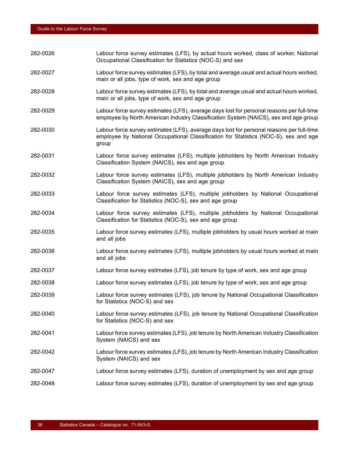| 282-0026 | Labour force survey estimates (LFS), by actual hours worked, class of worker, National<br>Occupational Classification for Statistics (NOC-S) and sex                                       |
|----------|--------------------------------------------------------------------------------------------------------------------------------------------------------------------------------------------|
| 282-0027 | Labour force survey estimates (LFS), by total and average usual and actual hours worked,<br>main or all jobs, type of work, sex and age group                                              |
| 282-0028 | Labour force survey estimates (LFS), by total and average usual and actual hours worked,<br>main or all jobs, type of work, sex and age group                                              |
| 282-0029 | Labour force survey estimates (LFS), average days lost for personal reasons per full-time<br>employee by North American Industry Classification System (NAICS), sex and age group          |
| 282-0030 | Labour force survey estimates (LFS), average days lost for personal reasons per full-time<br>employee by National Occupational Classification for Statistics (NOC-S), sex and age<br>group |
| 282-0031 | Labour force survey estimates (LFS), multiple jobholders by North American Industry<br>Classification System (NAICS), sex and age group                                                    |
| 282-0032 | Labour force survey estimates (LFS), multiple jobholders by North American Industry<br>Classification System (NAICS), sex and age group                                                    |
| 282-0033 | Labour force survey estimates (LFS), multiple jobholders by National Occupational<br>Classification for Statistics (NOC-S), sex and age group                                              |
| 282-0034 | Labour force survey estimates (LFS), multiple jobholders by National Occupational<br>Classification for Statistics (NOC-S), sex and age group                                              |
| 282-0035 | Labour force survey estimates (LFS), multiple jobholders by usual hours worked at main<br>and all jobs                                                                                     |
| 282-0036 | Labour force survey estimates (LFS), multiple jobholders by usual hours worked at main<br>and all jobs                                                                                     |
| 282-0037 | Labour force survey estimates (LFS), job tenure by type of work, sex and age group                                                                                                         |
| 282-0038 | Labour force survey estimates (LFS), job tenure by type of work, sex and age group                                                                                                         |
| 282-0039 | Labour force survey estimates (LFS), job tenure by National Occupational Classification<br>for Statistics (NOC-S) and sex                                                                  |
| 282-0040 | Labour force survey estimates (LFS), job tenure by National Occupational Classification<br>for Statistics (NOC-S) and sex                                                                  |
| 282-0041 | Labour force survey estimates (LFS), job tenure by North American Industry Classification<br>System (NAICS) and sex                                                                        |
| 282-0042 | Labour force survey estimates (LFS), job tenure by North American Industry Classification<br>System (NAICS) and sex                                                                        |
| 282-0047 | Labour force survey estimates (LFS), duration of unemployment by sex and age group                                                                                                         |
| 282-0048 | Labour force survey estimates (LFS), duration of unemployment by sex and age group                                                                                                         |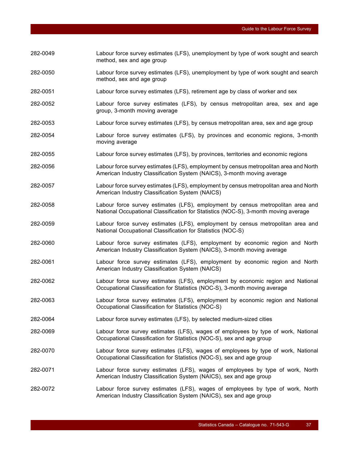method, sex and age group 282-0050 Labour force survey estimates (LFS), unemployment by type of work sought and search method, sex and age group 282-0051 Labour force survey estimates (LFS), retirement age by class of worker and sex 282-0052 Labour force survey estimates (LFS), by census metropolitan area, sex and age group, 3-month moving average 282-0053 Labour force survey estimates (LFS), by census metropolitan area, sex and age group 282-0054 Labour force survey estimates (LFS), by provinces and economic regions, 3-month moving average 282-0055 Labour force survey estimates (LFS), by provinces, territories and economic regions 282-0056 Labour force survey estimates (LFS), employment by census metropolitan area and North American Industry Classification System (NAICS), 3-month moving average 282-0057 Labour force survey estimates (LFS), employment by census metropolitan area and North American Industry Classification System (NAICS) 282-0058 Labour force survey estimates (LFS), employment by census metropolitan area and National Occupational Classification for Statistics (NOC-S), 3-month moving average 282-0059 Labour force survey estimates (LFS), employment by census metropolitan area and National Occupational Classification for Statistics (NOC-S) 282-0060 Labour force survey estimates (LFS), employment by economic region and North American Industry Classification System (NAICS), 3-month moving average 282-0061 Labour force survey estimates (LFS), employment by economic region and North American Industry Classification System (NAICS) 282-0062 Labour force survey estimates (LFS), employment by economic region and National Occupational Classification for Statistics (NOC-S), 3-month moving average 282-0063 Labour force survey estimates (LFS), employment by economic region and National Occupational Classification for Statistics (NOC-S) 282-0064 Labour force survey estimates (LFS), by selected medium-sized cities 282-0069 Labour force survey estimates (LFS), wages of employees by type of work, National Occupational Classification for Statistics (NOC-S), sex and age group 282-0070 Labour force survey estimates (LFS), wages of employees by type of work, National Occupational Classification for Statistics (NOC-S), sex and age group 282-0071 Labour force survey estimates (LFS), wages of employees by type of work, North American Industry Classification System (NAICS), sex and age group 282-0072 Labour force survey estimates (LFS), wages of employees by type of work, North American Industry Classification System (NAICS), sex and age group

282-0049 Labour force survey estimates (LFS), unemployment by type of work sought and search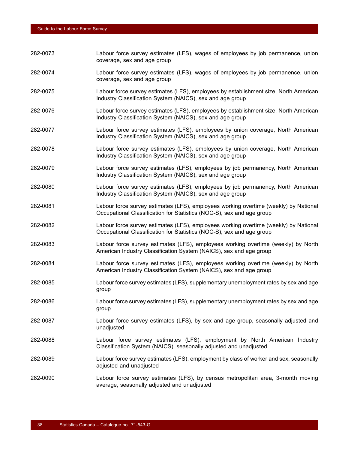| 282-0073 | Labour force survey estimates (LFS), wages of employees by job permanence, union<br>coverage, sex and age group                                               |
|----------|---------------------------------------------------------------------------------------------------------------------------------------------------------------|
| 282-0074 | Labour force survey estimates (LFS), wages of employees by job permanence, union<br>coverage, sex and age group                                               |
| 282-0075 | Labour force survey estimates (LFS), employees by establishment size, North American<br>Industry Classification System (NAICS), sex and age group             |
| 282-0076 | Labour force survey estimates (LFS), employees by establishment size, North American<br>Industry Classification System (NAICS), sex and age group             |
| 282-0077 | Labour force survey estimates (LFS), employees by union coverage, North American<br>Industry Classification System (NAICS), sex and age group                 |
| 282-0078 | Labour force survey estimates (LFS), employees by union coverage, North American<br>Industry Classification System (NAICS), sex and age group                 |
| 282-0079 | Labour force survey estimates (LFS), employees by job permanency, North American<br>Industry Classification System (NAICS), sex and age group                 |
| 282-0080 | Labour force survey estimates (LFS), employees by job permanency, North American<br>Industry Classification System (NAICS), sex and age group                 |
| 282-0081 | Labour force survey estimates (LFS), employees working overtime (weekly) by National<br>Occupational Classification for Statistics (NOC-S), sex and age group |
| 282-0082 | Labour force survey estimates (LFS), employees working overtime (weekly) by National<br>Occupational Classification for Statistics (NOC-S), sex and age group |
| 282-0083 | Labour force survey estimates (LFS), employees working overtime (weekly) by North<br>American Industry Classification System (NAICS), sex and age group       |
| 282-0084 | Labour force survey estimates (LFS), employees working overtime (weekly) by North<br>American Industry Classification System (NAICS), sex and age group       |
| 282-0085 | Labour force survey estimates (LFS), supplementary unemployment rates by sex and age<br>group                                                                 |
| 282-0086 | Labour force survey estimates (LFS), supplementary unemployment rates by sex and age<br>group                                                                 |
| 282-0087 | Labour force survey estimates (LFS), by sex and age group, seasonally adjusted and<br>unadjusted                                                              |
| 282-0088 | Labour force survey estimates (LFS), employment by North American Industry<br>Classification System (NAICS), seasonally adjusted and unadjusted               |
| 282-0089 | Labour force survey estimates (LFS), employment by class of worker and sex, seasonally<br>adjusted and unadjusted                                             |
| 282-0090 | Labour force survey estimates (LFS), by census metropolitan area, 3-month moving<br>average, seasonally adjusted and unadjusted                               |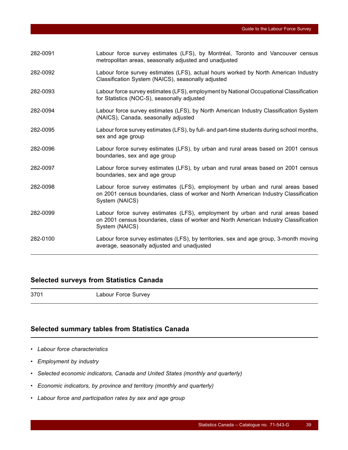| 282-0091 | Labour force survey estimates (LFS), by Montréal, Toronto and Vancouver census<br>metropolitan areas, seasonally adjusted and unadjusted                                                  |
|----------|-------------------------------------------------------------------------------------------------------------------------------------------------------------------------------------------|
| 282-0092 | Labour force survey estimates (LFS), actual hours worked by North American Industry<br>Classification System (NAICS), seasonally adjusted                                                 |
| 282-0093 | Labour force survey estimates (LFS), employment by National Occupational Classification<br>for Statistics (NOC-S), seasonally adjusted                                                    |
| 282-0094 | Labour force survey estimates (LFS), by North American Industry Classification System<br>(NAICS), Canada, seasonally adjusted                                                             |
| 282-0095 | Labour force survey estimates (LFS), by full- and part-time students during school months,<br>sex and age group                                                                           |
| 282-0096 | Labour force survey estimates (LFS), by urban and rural areas based on 2001 census<br>boundaries, sex and age group                                                                       |
| 282-0097 | Labour force survey estimates (LFS), by urban and rural areas based on 2001 census<br>boundaries, sex and age group                                                                       |
| 282-0098 | Labour force survey estimates (LFS), employment by urban and rural areas based<br>on 2001 census boundaries, class of worker and North American Industry Classification<br>System (NAICS) |
| 282-0099 | Labour force survey estimates (LFS), employment by urban and rural areas based<br>on 2001 census boundaries, class of worker and North American Industry Classification<br>System (NAICS) |
| 282-0100 | Labour force survey estimates (LFS), by territories, sex and age group, 3-month moving<br>average, seasonally adjusted and unadjusted                                                     |

## **Selected surveys from Statistics Canada**

3701 Labour Force Survey

## **Selected summary tables from Statistics Canada**

- *Labour force characteristics*
- *Employment by industry*
- *Selected economic indicators, Canada and United States (monthly and quarterly)*
- *Economic indicators, by province and territory (monthly and quarterly)*
- *Labour force and participation rates by sex and age group*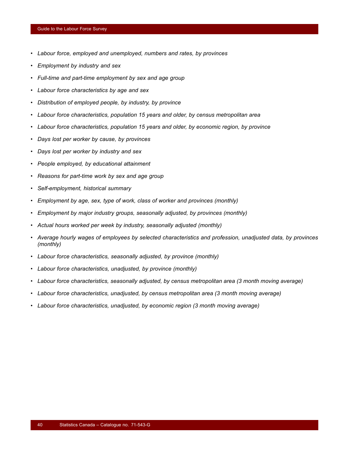- *Labour force, employed and unemployed, numbers and rates, by provinces*
- *Employment by industry and sex*
- *Full-time and part-time employment by sex and age group*
- *Labour force characteristics by age and sex*
- *Distribution of employed people, by industry, by province*
- *Labour force characteristics, population 15 years and older, by census metropolitan area*
- *Labour force characteristics, population 15 years and older, by economic region, by province*
- *Days lost per worker by cause, by provinces*
- *Days lost per worker by industry and sex*
- *People employed, by educational attainment*
- *Reasons for part-time work by sex and age group*
- *Self-employment, historical summary*
- *Employment by age, sex, type of work, class of worker and provinces (monthly)*
- *Employment by major industry groups, seasonally adjusted, by provinces (monthly)*
- *Actual hours worked per week by industry, seasonally adjusted (monthly)*
- *Average hourly wages of employees by selected characteristics and profession, unadjusted data, by provinces (monthly)*
- *Labour force characteristics, seasonally adjusted, by province (monthly)*
- *Labour force characteristics, unadjusted, by province (monthly)*
- *Labour force characteristics, seasonally adjusted, by census metropolitan area (3 month moving average)*
- *Labour force characteristics, unadjusted, by census metropolitan area (3 month moving average)*
- *Labour force characteristics, unadjusted, by economic region (3 month moving average)*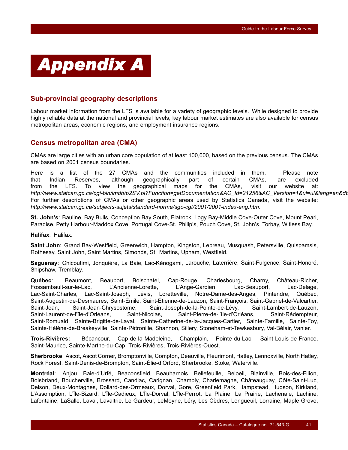<span id="page-42-0"></span>

## **Sub-provincial geography descriptions**

Labour market information from the LFS is available for a variety of geographic levels. While designed to provide highly reliable data at the national and provincial levels, key labour market estimates are also available for census metropolitan areas, economic regions, and employment insurance regions.

## **Census metropolitan area (CMA)**

CMAs are large cities with an urban core population of at least 100,000, based on the previous census. The CMAs are based on 2001 census boundaries.

Here is a list of the 27 CMAs and the communities included in them. Please note that Indian Reserves, although geographically part of certain CMAs, are excluded from the LFS. To view the geographical maps for the CMAs, visit our website at: *http://www.statcan.gc.ca/cgi-bin/imdb/p2SV.pl?Function=getDocumentation&AC\_Id=21256&AC\_Version=1&ul=ul&lang=en&db* For further descriptions of CMAs or other geographic areas used by Statistics Canada, visit the website: *http://www.statcan.gc.ca/subjects-sujets/standard-norme/sgc-cgt/2001/2001-index-eng.htm*.

**St. John's**: Bauline, Bay Bulls, Conception Bay South, Flatrock, Logy Bay-Middle Cove-Outer Cove, Mount Pearl, Paradise, Petty Harbour-Maddox Cove, Portugal Cove-St. Philip's, Pouch Cove, St. John's, Torbay, Witless Bay.

**Halifax**: Halifax.

**Saint John**: Grand Bay-Westfield, Greenwich, Hampton, Kingston, Lepreau, Musquash, Petersville, Quispamsis, Rothesay, Saint John, Saint Martins, Simonds, St. Martins, Upham, Westfield.

**Saguenay**: Chicoutimi, Jonquière, La Baie, Lac-Kénogami, Larouche, Laterrière, Saint-Fulgence, Saint-Honoré, Shipshaw, Tremblay.

**Québec**: Beaumont, Beauport, Boischatel, Cap-Rouge, Charlesbourg, Charny, Château-Richer, Fossambault-sur-le-Lac, L'Ancienne-Lorette, L'Ange-Gardien, Lac-Beauport, Lac-Delage, Lac-Saint-Charles, Lac-Saint-Joseph, Lévis, Loretteville, Notre-Dame-des-Anges, Pintendre, Québec, Saint-Augustin-de-Desmaures, Saint-Émile, Saint-Étienne-de-Lauzon, Saint-François, Saint-Gabriel-de-Valcartier, Saint-Jean, Saint-Jean-Chrysostome, Saint-Joseph-de-la-Pointe-de-Lévy, Saint-Lambert-de-Lauzon, Saint-Laurent-de-l'île-d'Orléans, Saint-Nicolas, Saint-Pierre-de-l'île-d'Orléans, Saint-Rédempteur, Saint-Romuald, Sainte-Brigitte-de-Laval, Sainte-Catherine-de-la-Jacques-Cartier, Sainte-Famille, Sainte-Foy, Sainte-Hélène-de-Breakeyville, Sainte-Pétronille, Shannon, Sillery, Stoneham-et-Tewkesbury, Val-Bélair, Vanier.

**Trois-Rivières:** Bécancour, Cap-de-la-Madeleine, Champlain, Pointe-du-Lac, Saint-Louis-de-France, Saint-Maurice, Sainte-Marthe-du-Cap, Trois-Rivières, Trois-Rivières-Ouest.

**Sherbrooke**: Ascot, Ascot Corner, Bromptonville, Compton, Deauville, Fleurimont, Hatley, Lennoxville, North Hatley, Rock Forest, Saint-Denis-de-Brompton, Saint-Élie-d'Orford, Sherbrooke, Stoke, Waterville.

**Montréal**: Anjou, Baie-d'Urfé, Beaconsfield, Beauharnois, Bellefeuille, Beloeil, Blainville, Bois-des-Filion, Boisbriand, Boucherville, Brossard, Candiac, Carignan, Chambly, Charlemagne, Châteauguay, Côte-Saint-Luc, Delson, Deux-Montagnes, Dollard-des-Ormeaux, Dorval, Gore, Greenfield Park, Hampstead, Hudson, Kirkland, L'Assomption, L'Île-Bizard, L'Île-Cadieux, L'Île-Dorval, L'Île-Perrot, La Plaine, La Prairie, Lachenaie, Lachine, Lafontaine, LaSalle, Laval, Lavaltrie, Le Gardeur, LeMoyne, Léry, Les Cèdres, Longueuil, Lorraine, Maple Grove,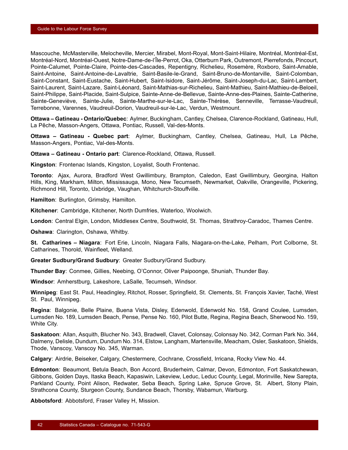Mascouche, McMasterville, Melocheville, Mercier, Mirabel, Mont-Royal, Mont-Saint-Hilaire, Montréal, Montréal-Est, Montréal-Nord, Montréal-Ouest, Notre-Dame-de-l'Île-Perrot, Oka, Otterburn Park, Outremont, Pierrefonds, Pincourt, Pointe-Calumet, Pointe-Claire, Pointe-des-Cascades, Repentigny, Richelieu, Rosemère, Roxboro, Saint-Amable, Saint-Antoine, Saint-Antoine-de-Lavaltrie, Saint-Basile-le-Grand, Saint-Bruno-de-Montarville, Saint-Colomban, Saint-Constant, Saint-Eustache, Saint-Hubert, Saint-Isidore, Saint-Jérôme, Saint-Joseph-du-Lac, Saint-Lambert, Saint-Laurent, Saint-Lazare, Saint-Léonard, Saint-Mathias-sur-Richelieu, Saint-Mathieu, Saint-Mathieu-de-Beloeil, Saint-Philippe, Saint-Placide, Saint-Sulpice, Sainte-Anne-de-Bellevue, Sainte-Anne-des-Plaines, Sainte-Catherine, Sainte-Geneviève, Sainte-Julie, Sainte-Marthe-sur-le-Lac, Sainte-Thérèse, Senneville, Terrasse-Vaudreuil, Terrebonne, Varennes, Vaudreuil-Dorion, Vaudreuil-sur-le-Lac, Verdun, Westmount.

**Ottawa – Gatineau - Ontario/Quebec**: Aylmer, Buckingham, Cantley, Chelsea, Clarence-Rockland, Gatineau, Hull, La Pêche, Masson-Angers, Ottawa, Pontiac, Russell, Val-des-Monts.

**Ottawa – Gatineau - Quebec part**: Aylmer, Buckingham, Cantley, Chelsea, Gatineau, Hull, La Pêche, Masson-Angers, Pontiac, Val-des-Monts.

**Ottawa – Gatineau - Ontario part**: Clarence-Rockland, Ottawa, Russell.

**Kingston**: Frontenac Islands, Kingston, Loyalist, South Frontenac.

**Toronto**: Ajax, Aurora, Bradford West Gwillimbury, Brampton, Caledon, East Gwillimbury, Georgina, Halton Hills, King, Markham, Milton, Mississauga, Mono, New Tecumseth, Newmarket, Oakville, Orangeville, Pickering, Richmond Hill, Toronto, Uxbridge, Vaughan, Whitchurch-Stouffville.

**Hamilton**: Burlington, Grimsby, Hamilton.

**Kitchener**: Cambridge, Kitchener, North Dumfries, Waterloo, Woolwich.

**London**: Central Elgin, London, Middlesex Centre, Southwold, St. Thomas, Strathroy-Caradoc, Thames Centre.

**Oshawa**: Clarington, Oshawa, Whitby.

**St. Catharines – Niagara**: Fort Erie, Lincoln, Niagara Falls, Niagara-on-the-Lake, Pelham, Port Colborne, St. Catharines, Thorold, Wainfleet, Welland.

**Greater Sudbury/Grand Sudbury**: Greater Sudbury/Grand Sudbury.

**Thunder Bay**: Conmee, Gillies, Neebing, O'Connor, Oliver Paipoonge, Shuniah, Thunder Bay.

**Windsor**: Amherstburg, Lakeshore, LaSalle, Tecumseh, Windsor.

**Winnipeg**: East St. Paul, Headingley, Ritchot, Rosser, Springfield, St. Clements, St. François Xavier, Taché, West St. Paul, Winnipeg.

**Regina**: Balgonie, Belle Plaine, Buena Vista, Disley, Edenwold, Edenwold No. 158, Grand Coulee, Lumsden, Lumsden No. 189, Lumsden Beach, Pense, Pense No. 160, Pilot Butte, Regina, Regina Beach, Sherwood No. 159, White City.

**Saskatoon**: Allan, Asquith, Blucher No. 343, Bradwell, Clavet, Colonsay, Colonsay No. 342, Corman Park No. 344, Dalmeny, Delisle, Dundurn, Dundurn No. 314, Elstow, Langham, Martensville, Meacham, Osler, Saskatoon, Shields, Thode, Vanscoy, Vanscoy No. 345, Warman.

**Calgary**: Airdrie, Beiseker, Calgary, Chestermere, Cochrane, Crossfield, Irricana, Rocky View No. 44.

**Edmonton**: Beaumont, Betula Beach, Bon Accord, Bruderheim, Calmar, Devon, Edmonton, Fort Saskatchewan, Gibbons, Golden Days, Itaska Beach, Kapasiwin, Lakeview, Leduc, Leduc County, Legal, Morinville, New Sarepta, Parkland County, Point Alison, Redwater, Seba Beach, Spring Lake, Spruce Grove, St. Albert, Stony Plain, Strathcona County, Sturgeon County, Sundance Beach, Thorsby, Wabamun, Warburg.

**Abbotsford**: Abbotsford, Fraser Valley H, Mission.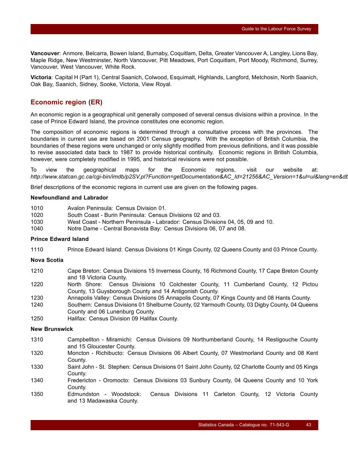**Vancouver**: Anmore, Belcarra, Bowen Island, Burnaby, Coquitlam, Delta, Greater Vancouver A, Langley, Lions Bay, Maple Ridge, New Westminster, North Vancouver, Pitt Meadows, Port Coquitlam, Port Moody, Richmond, Surrey, Vancouver, West Vancouver, White Rock.

**Victoria**: Capital H (Part 1), Central Saanich, Colwood, Esquimalt, Highlands, Langford, Metchosin, North Saanich, Oak Bay, Saanich, Sidney, Sooke, Victoria, View Royal.

### **Economic region (ER)**

An economic region is a geographical unit generally composed of several census divisions within a province. In the case of Prince Edward Island, the province constitutes one economic region.

The composition of economic regions is determined through a consultative process with the provinces. The boundaries in current use are based on 2001 Census geography. With the exception of British Columbia, the boundaries of these regions were unchanged or only slightly modified from previous definitions, and it was possible to revise associated data back to 1987 to provide historical continuity. Economic regions in British Columbia, however, were completely modified in 1995, and historical revisions were not possible.

To view the geographical maps for the Economic regions, visit our website at: *http://www.statcan.gc.ca/cgi-bin/imdb/p2SV.pl?Function=getDocumentation&AC\_Id=21256&AC\_Version=1&ul=ul&lang=en&db*

Brief descriptions of the economic regions in current use are given on the following pages.

#### **Newfoundland and Labrador**

- 1010 Avalon Peninsula: Census Division 01.
- 1020 South Coast Burin Peninsula: Census Divisions 02 and 03.
- 1030 West Coast Northern Peninsula Labrador: Census Divisions 04, 05, 09 and 10.
- 1040 Notre Dame Central Bonavista Bay: Census Divisions 06, 07 and 08.

#### **Prince Edward Island**

1110 Prince Edward Island: Census Divisions 01 Kings County, 02 Queens County and 03 Prince County.

#### **Nova Scotia**

- 1210 Cape Breton: Census Divisions 15 Inverness County, 16 Richmond County, 17 Cape Breton County and 18 Victoria County.
- 1220 North Shore: Census Divisions 10 Colchester County, 11 Cumberland County, 12 Pictou County, 13 Guysborough County and 14 Antigonish County.
- 1230 Annapolis Valley: Census Divisions 05 Annapolis County, 07 Kings County and 08 Hants County.
- 1240 Southern: Census Divisions 01 Shelburne County, 02 Yarmouth County, 03 Digby County, 04 Queens County and 06 Lunenburg County.
- 1250 Halifax: Census Division 09 Halifax County.

#### **New Brunswick**

- 1310 Campbellton Miramichi: Census Divisions 09 Northumberland County, 14 Restigouche County and 15 Gloucester County.
- 1320 Moncton Richibucto: Census Divisions 06 Albert County, 07 Westmorland County and 08 Kent County.
- 1330 Saint John St. Stephen: Census Divisions 01 Saint John County, 02 Charlotte County and 05 Kings County.
- 1340 Fredericton Oromocto: Census Divisions 03 Sunbury County, 04 Queens County and 10 York County.
- 1350 Edmundston Woodstock: Census Divisions 11 Carleton County, 12 Victoria County and 13 Madawaska County.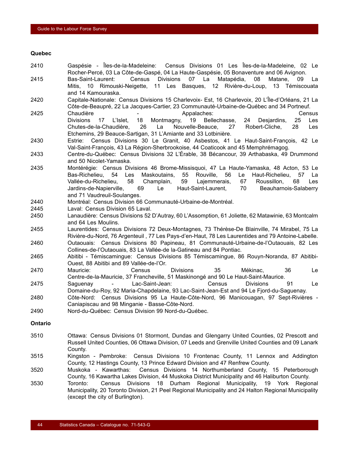#### **Quebec**

| 2410         | Gaspésie - Îles-de-la-Madeleine: Census Divisions 01 Les Îles-de-la-Madeleine, 02 Le<br>Rocher-Percé, 03 La Côte-de-Gaspé, 04 La Haute-Gaspésie, 05 Bonaventure and 06 Avignon.                             |
|--------------|-------------------------------------------------------------------------------------------------------------------------------------------------------------------------------------------------------------|
| 2415         | 07 La<br>Bas-Saint-Laurent:<br>Census Divisions<br>Matapédia, 08<br>Matane,<br>La<br>09                                                                                                                     |
|              | Mitis, 10 Rimouski-Neigette, 11 Les Basques, 12 Rivière-du-Loup, 13 Témiscouata<br>and 14 Kamouraska.                                                                                                       |
| 2420         | Capitale-Nationale: Census Divisions 15 Charlevoix- Est, 16 Charlevoix, 20 L'Île-d'Orléans, 21 La                                                                                                           |
| 2425         | Côte-de-Beaupré, 22 La Jacques-Cartier, 23 Communauté-Urbaine-de-Québec and 34 Portneuf.<br>Chaudière<br>Appalaches:<br>Census                                                                              |
|              | <b>Divisions</b><br>19<br>Bellechasse,<br>25<br>Les<br>17<br>L'Islet,<br>18<br>Montmagny,<br>24<br>Desjardins,                                                                                              |
|              | Chutes-de-la-Chaudière,<br>26<br>La<br>Nouvelle-Beauce, 27<br>Robert-Cliche,<br>28<br>Les<br>Etchemins, 29 Beauce-Sartigan, 31 L'Amiante and 33 Lotbinière.                                                 |
| 2430         | Estrie: Census Divisions 30 Le Granit, 40 Asbestos, 41 Le Haut-Saint-François, 42 Le                                                                                                                        |
|              | Val-Saint-François, 43 La Région-Sherbrookoise, 44 Coaticook and 45 Memphrémagog.                                                                                                                           |
| 2433         | Centre-du-Québec: Census Divisions 32 L'Érable, 38 Bécancour, 39 Arthabaska, 49 Drummond<br>and 50 Nicolet-Yamaska.                                                                                         |
| 2435         | Montérégie: Census Divisions 46 Brome-Missisquoi, 47 La Haute-Yamaska, 48 Acton, 53 Le                                                                                                                      |
|              | Bas-Richelieu, 54<br>Les<br>Maskoutains,<br>55 Rouville, 56<br>Le Haut-Richelieu, 57<br>La                                                                                                                  |
|              | 58<br>59<br>67<br>Vallée-du-Richelieu,<br>Champlain,<br>Lajemmerais,<br>Roussillon,<br>68<br>Les<br>70<br>Jardins-de-Napierville,<br>Le<br>Haut-Saint-Laurent,<br>Beauharnois-Salaberry<br>69               |
|              | and 71 Vaudreuil-Soulanges.                                                                                                                                                                                 |
| 2440         | Montréal: Census Division 66 Communauté-Urbaine-de-Montréal.                                                                                                                                                |
| 2445<br>2450 | Laval: Census Division 65 Laval.<br>Lanaudière: Census Divisions 52 D'Autray, 60 L'Assomption, 61 Joliette, 62 Matawinie, 63 Montcalm                                                                       |
|              | and 64 Les Moulins.                                                                                                                                                                                         |
| 2455         | Laurentides: Census Divisions 72 Deux-Montagnes, 73 Thérèse-De Blainville, 74 Mirabel, 75 La<br>Rivière-du-Nord, 76 Argenteuil, 77 Les Pays-d'en-Haut, 78 Les Laurentides and 79 Antoine-Labelle.           |
| 2460         | Outaouais: Census Divisions 80 Papineau, 81 Communauté-Urbaine-de-l'Outaouais, 82 Les<br>Collines-de-l'Outaouais, 83 La Vallée-de la-Gatineau and 84 Pontiac.                                               |
| 2465         | Abitibi - Témiscamingue: Census Divisions 85 Témiscamingue, 86 Rouyn-Noranda, 87 Abitibi-<br>Ouest, 88 Abitibi and 89 Vallée-de-l'Or.                                                                       |
| 2470         | 35<br><b>Divisions</b><br>36<br>Mauricie:<br>Census<br>Mékinac,<br>Le<br>Centre-de-la-Mauricie, 37 Francheville, 51 Maskinongé and 90 Le Haut-Saint-Maurice.                                                |
| 2475         | Le<br>Lac-Saint-Jean:<br>Census<br><b>Divisions</b><br>91<br>Saguenay<br>$\omega_{\rm{max}}$<br>Domaine-du-Roy, 92 Maria-Chapdelaine, 93 Lac-Saint-Jean-Est and 94 Le Fjord-du-Saguenay.                    |
| 2480         | Côte-Nord: Census Divisions 95 La Haute-Côte-Nord, 96 Manicouagan, 97 Sept-Rivières -<br>Caniapiscau and 98 Minganie - Basse-Côte-Nord.                                                                     |
| 2490         | Nord-du-Québec: Census Division 99 Nord-du-Québec.                                                                                                                                                          |
| Ontario      |                                                                                                                                                                                                             |
| 3510         | Ottawa: Census Divisions 01 Stormont, Dundas and Glengarry United Counties, 02 Prescott and<br>Russell United Counties, 06 Ottawa Division, 07 Leeds and Grenville United Counties and 09 Lanark<br>County. |
| 3515         | Kingston - Pembroke: Census Divisions 10 Frontenac County, 11 Lennox and Addington<br>County, 12 Hastings County, 13 Prince Edward Division and 47 Renfrew County.                                          |
| 3520         | Muskoka - Kawarthas:<br>Census Divisions 14 Northumberland County, 15 Peterborough<br>County, 16 Kawartha Lakes Division, 44 Muskoka District Municipality and 46 Haliburton County.                        |

3530 Toronto: Census Divisions 18 Durham Regional Municipality, 19 York Regional Municipality, 20 Toronto Division, 21 Peel Regional Municipality and 24 Halton Regional Municipality (except the city of Burlington).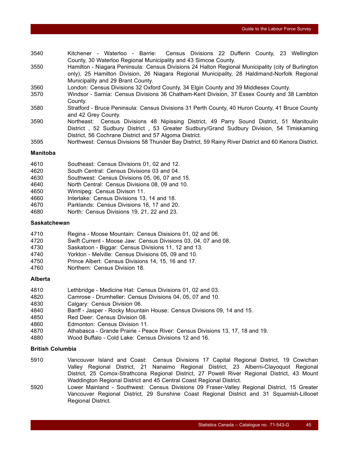- 3540 Kitchener Waterloo Barrie: Census Divisions 22 Dufferin County, 23 Wellington County, 30 Waterloo Regional Municipality and 43 Simcoe County.
- 3550 Hamilton Niagara Peninsula: Census Divisions 24 Halton Regional Municipality (city of Burlington only), 25 Hamilton Division, 26 Niagara Regional Municipality, 28 Haldimand-Norfolk Regional Municipality and 29 Brant County.
- 3560 London: Census Divisions 32 Oxford County, 34 Elgin County and 39 Middlesex County.
- 3570 Windsor Sarnia: Census Divisions 36 Chatham-Kent Division, 37 Essex County and 38 Lambton County.
- 3580 Stratford Bruce Peninsula: Census Divisions 31 Perth County, 40 Huron County, 41 Bruce County and 42 Grey County.
- 3590 Northeast: Census Divisions 48 Nipissing District, 49 Parry Sound District, 51 Manitoulin District , 52 Sudbury District , 53 Greater Sudbury/Grand Sudbury Division, 54 Timiskaming District, 56 Cochrane District and 57 Algoma District.
- 3595 Northwest: Census Divisions 58 Thunder Bay District, 59 Rainy River District and 60 Kenora District.

#### **Manitoba**

- 4610 Southeast: Census Divisions 01, 02 and 12.
- 4620 South Central: Census Divisions 03 and 04.
- 4630 Southwest: Census Divisions 05, 06, 07 and 15.
- 4640 North Central: Census Divisions 08, 09 and 10.
- 4650 Winnipeg: Census Divison 11.
- 4660 Interlake: Census Divisions 13, 14 and 18.
- 4670 Parklands: Census Divisions 16, 17 and 20.
- 4680 North: Census Divisions 19, 21, 22 and 23.

#### **Saskatchewan**

- 4710 Regina Moose Mountain: Census Disisions 01, 02 and 06.
- 4720 Swift Current Moose Jaw: Census Divisions 03, 04, 07 and 08.
- 4730 Saskatoon Biggar: Census Divisions 11, 12 and 13.
- 4740 Yorkton Melville: Census Divisions 05, 09 and 10.
- 4750 Prince Albert: Census Divisions 14, 15, 16 and 17.
- 4760 Northern: Census Division 18.

#### **Alberta**

- 4810 Lethbridge Medicine Hat: Census Divisions 01, 02 and 03.
- 4820 Camrose Drumheller: Census Divisions 04, 05, 07 and 10.
- 4830 Calgary: Census Division 06.
- 4840 Banff Jasper Rocky Mountain House: Census Divisions 09, 14 and 15.
- 4850 Red Deer: Census Division 08.
- 4860 Edmonton: Census Division 11.
- 4870 Athabasca Grande Prairie Peace River: Census Divisions 13, 17, 18 and 19.
- 4880 Wood Buffalo Cold Lake: Census Divisions 12 and 16.

#### **British Columbia**

- 5910 Vancouver Island and Coast: Census Divisions 17 Capital Regional District, 19 Cowichan Valley Regional District, 21 Nanaimo Regional District, 23 Alberni-Clayoquot Regional District, 25 Comox-Strathcona Regional District, 27 Powell River Regional District, 43 Mount Waddington Regional District and 45 Central Coast Regional District.
- 5920 Lower Mainland Southwest: Census Divisions 09 Fraser-Valley Regional District, 15 Greater Vancouver Regional District, 29 Sunshine Coast Regional District and 31 Squamish-Lillooet Regional District.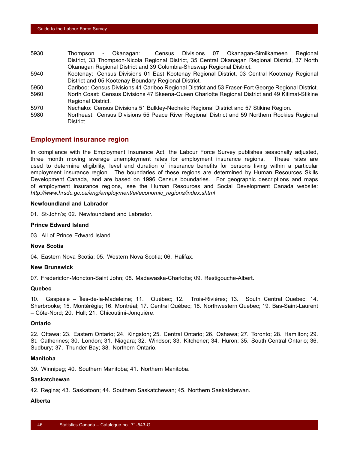- 5930 Thompson Okanagan: Census Divisions 07 Okanagan-Similkameen Regional District, 33 Thompson-Nicola Regional District, 35 Central Okanagan Regional District, 37 North Okanagan Regional District and 39 Columbia-Shuswap Regional District.
- 5940 Kootenay: Census Divisions 01 East Kootenay Regional District, 03 Central Kootenay Regional District and 05 Kootenay Boundary Regional District.
- 5950 Cariboo: Census Divisions 41 Cariboo Regional District and 53 Fraser-Fort George Regional District. 5960 North Coast: Census Divisions 47 Skeena-Queen Charlotte Regional District and 49 Kitimat-Stikine Regional District.
- 5970 Nechako: Census Divisions 51 Bulkley-Nechako Regional District and 57 Stikine Region.
- 5980 Northeast: Census Divisions 55 Peace River Regional District and 59 Northern Rockies Regional District.

#### **Employment insurance region**

In compliance with the Employment Insurance Act, the Labour Force Survey publishes seasonally adjusted, three month moving average unemployment rates for employment insurance regions. These rates are used to determine eligibility, level and duration of insurance benefits for persons living within a particular employment insurance region. The boundaries of these regions are determined by Human Resources Skills Development Canada, and are based on 1996 Census boundaries. For geographic descriptions and maps of employment insurance regions, see the Human Resources and Social Development Canada website: *http://www.hrsdc.gc.ca/eng/employment/ei/economic\_regions/index.shtml*

#### **Newfoundland and Labrador**

01. St-John's; 02. Newfoundland and Labrador.

#### **Prince Edward Island**

03. All of Prince Edward Island.

#### **Nova Scotia**

04. Eastern Nova Scotia; 05. Western Nova Scotia; 06. Halifax.

#### **New Brunswick**

07. Fredericton-Moncton-Saint John; 08. Madawaska-Charlotte; 09. Restigouche-Albert.

#### **Quebec**

10. Gaspésie – Îles-de-la-Madeleine; 11. Québec; 12. Trois-Rivières; 13. South Central Quebec; 14. Sherbrooke; 15. Montérégie; 16. Montréal; 17. Central Québec; 18. Northwestern Quebec; 19. Bas-Saint-Laurent – Côte-Nord; 20. Hull; 21. Chicoutimi-Jonquière.

#### **Ontario**

22. Ottawa; 23. Eastern Ontario; 24. Kingston; 25. Central Ontario; 26. Oshawa; 27. Toronto; 28. Hamilton; 29. St. Catherines; 30. London; 31. Niagara; 32. Windsor; 33. Kitchener; 34. Huron; 35. South Central Ontario; 36. Sudbury; 37. Thunder Bay; 38. Northern Ontario.

#### **Manitoba**

39. Winnipeg; 40. Southern Manitoba; 41. Northern Manitoba.

#### **Saskatchewan**

42. Regina; 43. Saskatoon; 44. Southern Saskatchewan; 45. Northern Saskatchewan.

#### **Alberta**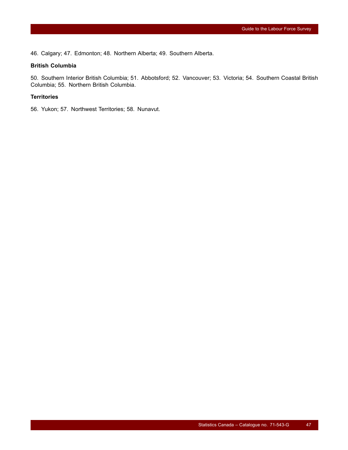46. Calgary; 47. Edmonton; 48. Northern Alberta; 49. Southern Alberta.

#### **British Columbia**

50. Southern Interior British Columbia; 51. Abbotsford; 52. Vancouver; 53. Victoria; 54. Southern Coastal British Columbia; 55. Northern British Columbia.

#### **Territories**

56. Yukon; 57. Northwest Territories; 58. Nunavut.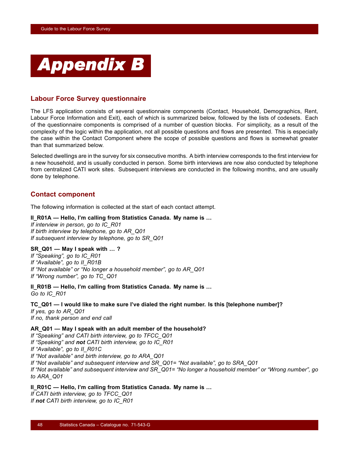<span id="page-49-0"></span>

## **Labour Force Survey questionnaire**

The LFS application consists of several questionnaire components (Contact, Household, Demographics, Rent, Labour Force Information and Exit), each of which is summarized below, followed by the lists of codesets. Each of the questionnaire components is comprised of a number of question blocks. For simplicity, as a result of the complexity of the logic within the application, not all possible questions and flows are presented. This is especially the case within the Contact Component where the scope of possible questions and flows is somewhat greater than that summarized below.

Selected dwellings are in the survey for six consecutive months. A birth interview corresponds to the first interview for a new household, and is usually conducted in person. Some birth interviews are now also conducted by telephone from centralized CATI work sites. Subsequent interviews are conducted in the following months, and are usually done by telephone.

## **Contact component**

The following information is collected at the start of each contact attempt.

#### **II\_R01A — Hello, I'm calling from Statistics Canada. My name is …**

*If interview in person, go to IC\_R01 If birth interview by telephone, go to AR\_Q01 If subsequent interview by telephone, go to SR\_Q01*

#### **SR\_Q01 — May I speak with … ?**

*If "Speaking", go to IC\_R01 If "Available", go to II\_R01B If "Not available" or "No longer a household member", go to AR\_Q01 If "Wrong number", go to TC\_Q01*

**II\_R01B — Hello, I'm calling from Statistics Canada. My name is …** *Go to IC\_R01*

**TC\_Q01 — I would like to make sure I've dialed the right number. Is this [telephone number]?** *If yes, go to AR\_Q01 If no, thank person and end call*

#### **AR\_Q01 — May I speak with an adult member of the household?**

*If "Speaking" and CATI birth interview, go to TFCC\_Q01 If "Speaking" and not CATI birth interview, go to IC\_R01 If "Available", go to II\_R01C If "Not available" and birth interview, go to ARA\_Q01 If "Not available" and subsequent interview and SR\_Q01= "Not available", go to SRA\_Q01 If "Not available" and subsequent interview and SR\_Q01= "No longer a household member" or "Wrong number", go to ARA\_Q01*

**II\_R01C — Hello, I'm calling from Statistics Canada. My name is …**

*If CATI birth interview, go to TFCC\_Q01 If not CATI birth interview, go to IC\_R01*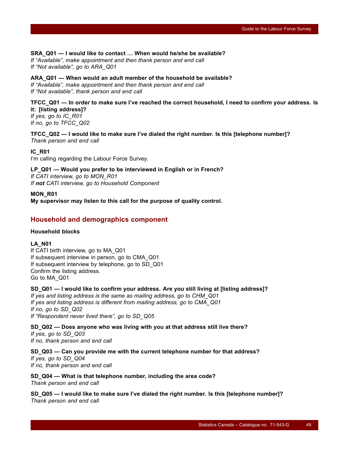#### **SRA\_Q01 — I would like to contact … When would he/she be available?**

*If "Available", make appointment and then thank person and end call If "Not available", go to ARA\_Q01*

#### **ARA\_Q01 — When would an adult member of the household be available?**

*If "Available", make appointment and then thank person and end call If "Not available", thank person and end call*

#### **TFCC\_Q01 — In order to make sure I've reached the correct household, I need to confirm your address. Is it: [listing address]?**

*If yes, go to IC\_R01 If no, go to TFCC\_Q02*

**TFCC\_Q02 — I would like to make sure I've dialed the right number. Is this [telephone number]?** *Thank person and end call*

#### **IC\_R01**

I'm calling regarding the Labour Force Survey.

#### **LP\_Q01 — Would you prefer to be interviewed in English or in French?**

*If CATI interview, go to MON\_R01 If not CATI interview, go to Household Component*

#### **MON\_R01**

**My supervisor may listen to this call for the purpose of quality control.**

### **Household and demographics component**

#### **Household blocks**

#### **LA\_N01**

If CATI birth interview, go to MA\_Q01 If subsequent interview in person, go to CMA\_Q01 If subsequent interview by telephone, go to SD\_Q01 Confirm the listing address. Go to MA\_Q01

#### **SD\_Q01 — I would like to confirm your address. Are you still living at [listing address]?**

*If yes and listing address is the same as mailing address, go to CHM\_Q01 If yes and listing address is different from mailing address, go to CMA\_Q01 If no, go to SD\_Q02 If "Respondent never lived there", go to SD\_Q05*

**SD\_Q02 — Does anyone who was living with you at that address still live there?** *If yes, go to SD\_Q03 If no, thank person and end call*

#### **SD\_Q03 — Can you provide me with the current telephone number for that address?**

*If yes, go to SD\_Q04 If no, thank person and end call*

#### **SD\_Q04 — What is that telephone number, including the area code?**

*Thank person and end call*

**SD\_Q05 — I would like to make sure I've dialed the right number. Is this [telephone number]?** *Thank person and end call*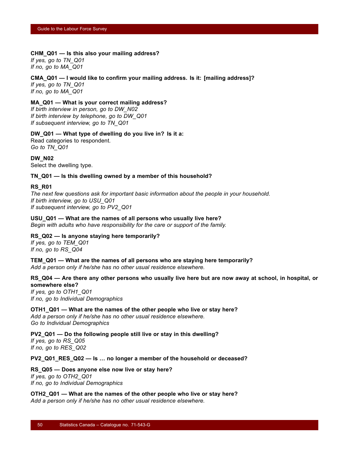#### **CHM\_Q01 — Is this also your mailing address?**

*If yes, go to TN\_Q01 If no, go to MA\_Q01*

## **CMA\_Q01 — I would like to confirm your mailing address. Is it: [mailing address]?**

*If yes, go to TN\_Q01 If no, go to MA\_Q01*

#### **MA\_Q01 — What is your correct mailing address?**

*If birth interview in person, go to DW\_N02 If birth interview by telephone, go to DW\_Q01 If subsequent interview, go to TN\_Q01*

#### **DW\_Q01 — What type of dwelling do you live in? Is it a:**

Read categories to respondent. *Go to TN\_Q01*

**DW\_N02** Select the dwelling type.

#### **TN\_Q01 — Is this dwelling owned by a member of this household?**

#### **RS\_R01**

*The next few questions ask for important basic information about the people in your household. If birth interview, go to USU\_Q01 If subsequent interview, go to PV2\_Q01*

#### **USU\_Q01 — What are the names of all persons who usually live here?**

*Begin with adults who have responsibility for the care or support of the family.*

#### **RS\_Q02 — Is anyone staying here temporarily?**

*If yes, go to TEM\_Q01 If no, go to RS\_Q04*

#### **TEM\_Q01 — What are the names of all persons who are staying here temporarily?**

*Add a person only if he/she has no other usual residence elsewhere.*

#### **RS\_Q04 — Are there any other persons who usually live here but are now away at school, in hospital, or somewhere else?**

*If yes, go to OTH1\_Q01 If no, go to Individual Demographics*

#### **OTH1\_Q01 — What are the names of the other people who live or stay here?**

*Add a person only if he/she has no other usual residence elsewhere. Go to Individual Demographics*

#### **PV2\_Q01 — Do the following people still live or stay in this dwelling?**

*If yes, go to RS\_Q05 If no, go to RES\_Q02*

**PV2\_Q01\_RES\_Q02 — Is … no longer a member of the household or deceased?**

**RS\_Q05 — Does anyone else now live or stay here?** *If yes, go to OTH2\_Q01 If no, go to Individual Demographics*

**OTH2\_Q01 — What are the names of the other people who live or stay here?** *Add a person only if he/she has no other usual residence elsewhere.*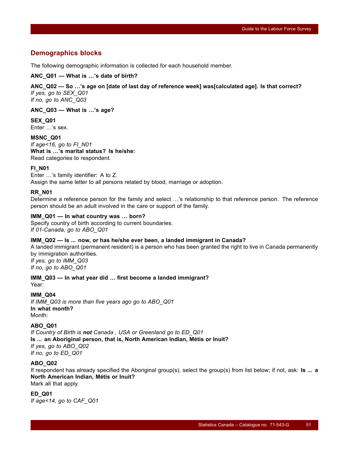## **Demographics blocks**

The following demographic information is collected for each household member.

#### **ANC\_Q01 — What is …'s date of birth?**

#### **ANC\_Q02 — So …'s age on [date of last day of reference week] was[calculated age]. Is that correct?** *If yes, go to SEX\_Q01*

*If no, go to ANC\_Q03*

#### **ANC\_Q03 — What is …'s age?**

**SEX\_Q01** Enter …'s sex.

**MSNC\_Q01** *If age<16, go to FI\_N01* **What is …'s marital status? Is he/she:** Read categories to respondent.

#### **FI\_N01**

Enter …'s family identifier: A to Z. Assign the same letter to all persons related by blood, marriage or adoption.

#### **RR\_N01**

Determine a reference person for the family and select …'s relationship to that reference person. The reference person should be an adult involved in the care or support of the family.

#### **IMM\_Q01 — In what country was … born?**

Specify country of birth according to current boundaries. *If 01-Canada, go to ABO\_Q01*

#### **IMM\_Q02 — Is ... now, or has he/she ever been, a landed immigrant in Canada?**

A landed immigrant (permanent resident) is a person who has been granted the right to live in Canada permanently by immigration authorities.

*If yes, go to IMM\_Q03 If no, go to ABO\_Q01*

**IMM\_Q03 — In what year did … first become a landed immigrant?** Year:

#### **IMM\_Q04**

*If IMM\_Q03 is more than five years ago go to ABO\_Q01* **In what month?** Month:

#### **ABO\_Q01**

*If Country of Birth is not Canada , USA or Greenland go to ED\_Q01* **Is ... an Aboriginal person, that is, North American Indian, Métis or Inuit?** *If yes, go to ABO\_Q02 If no, go to ED\_Q01*

#### **ABO\_Q02**

If respondent has already specified the Aboriginal group(s), select the group(s) from list below; if not, ask: **Is ... a North American Indian, Métis or Inuit?** Mark all that apply.

#### **ED\_Q01**

*If age<14, go to CAF\_Q01*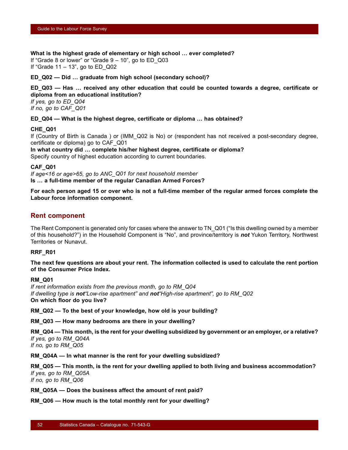**What is the highest grade of elementary or high school … ever completed?**

If "Grade 8 or lower" or "Grade  $9 - 10$ ", go to ED Q03 If "Grade  $11 - 13$ ", go to ED Q02

**ED\_Q02 — Did … graduate from high school (secondary school)?**

**ED\_Q03 — Has … received any other education that could be counted towards a degree, certificate or diploma from an educational institution?**

*If yes, go to ED\_Q04 If no, go to CAF\_Q01*

**ED\_Q04 — What is the highest degree, certificate or diploma … has obtained?**

#### **CHE\_Q01**

If (Country of Birth is Canada ) or (IMM\_Q02 is No) or (respondent has not received a post-secondary degree, certificate or diploma) go to CAF\_Q01

**In what country did … complete his/her highest degree, certificate or diploma?** Specify country of highest education according to current boundaries.

**CAF\_Q01**

*If age<16 or age>65, go to ANC\_Q01 for next household member* **Is … a full-time member of the regular Canadian Armed Forces?**

**For each person aged 15 or over who is not a full-time member of the regular armed forces complete the Labour force information component.**

#### **Rent component**

The Rent Component is generated only for cases where the answer to TN\_Q01 ("Is this dwelling owned by a member of this household?") in the Household Component is "No", and province/territory is *not* Yukon Territory, Northwest Territories or Nunavut.

#### **RRF\_R01**

**The next few questions are about your rent. The information collected is used to calculate the rent portion of the Consumer Price Index.**

#### **RM\_Q01**

*If rent information exists from the previous month, go to RM\_Q04 If dwelling type is not"Low-rise apartment" and not"High-rise apartment", go to RM\_Q02* **On which floor do you live?**

**RM\_Q02 — To the best of your knowledge, how old is your building?**

**RM\_Q03 — How many bedrooms are there in your dwelling?**

**RM\_Q04 — This month, is the rent for your dwelling subsidized by government or an employer, or a relative?** *If yes, go to RM\_Q04A If no, go to RM\_Q05*

**RM\_Q04A — In what manner is the rent for your dwelling subsidized?**

**RM\_Q05 — This month, is the rent for your dwelling applied to both living and business accommodation?** *If yes, go to RM\_Q05A If no, go to RM\_Q06*

**RM\_Q05A — Does the business affect the amount of rent paid?**

**RM\_Q06 — How much is the total monthly rent for your dwelling?**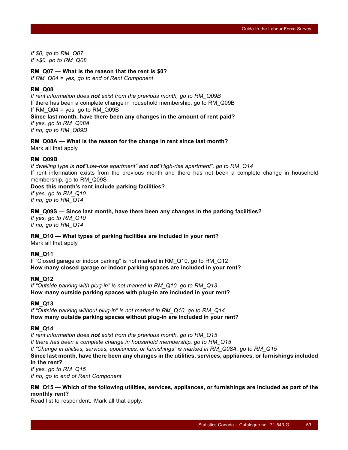*If \$0, go to RM\_Q07 If >\$0, go to RM\_Q08*

#### **RM\_Q07 — What is the reason that the rent is \$0?**

*If RM\_Q04 = yes, go to end of Rent Component*

#### **RM\_Q08**

*If rent information does not exist from the previous month, go to RM\_Q09B* If there has been a complete change in household membership, go to RM\_Q09B If  $RM\_Q04$  = yes, go to  $RM\_Q09B$ **Since last month, have there been any changes in the amount of rent paid?** *If yes, go to RM\_Q08A If no, go to RM\_Q09B*

**RM\_Q08A — What is the reason for the change in rent since last month?** Mark all that apply.

#### **RM\_Q09B**

*If dwelling type is not"Low-rise apartment" and not"High-rise apartment", go to RM\_Q14* If rent information exists from the previous month and there has not been a complete change in household membership, go to RM\_Q09S

# **Does this month's rent include parking facilities?**

*If yes, go to RM\_Q10 If no, go to RM\_Q14*

#### **RM\_Q09S — Since last month, have there been any changes in the parking facilities?**

*If yes, go to RM\_Q10 If no, go to RM\_Q14*

#### **RM\_Q10 — What types of parking facilities are included in your rent?**

Mark all that apply.

#### **RM\_Q11**

If "Closed garage or indoor parking" is not marked in RM\_Q10, go to RM\_Q12 **How many closed garage or indoor parking spaces are included in your rent?**

#### **RM\_Q12**

*If "Outside parking with plug-in" is not marked in RM\_Q10, go to RM\_Q13* **How many outside parking spaces with plug-in are included in your rent?**

#### **RM\_Q13**

*If "Outside parking without plug-in" is not marked in RM\_Q10, go to RM\_Q14* **How many outside parking spaces without plug-in are included in your rent?**

#### **RM\_Q14**

*If rent information does not exist from the previous month, go to RM\_Q15 If there has been a complete change in household membership, go to RM\_Q15 If "Change in utilities, services, appliances, or furnishings" is marked in RM\_Q08A, go to RM\_Q15* **Since last month, have there been any changes in the utilities, services, appliances, or furnishings included in the rent?** *If yes, go to RM\_Q15*

*If no, go to end of Rent Component*

#### **RM\_Q15 — Which of the following utilities, services, appliances, or furnishings are included as part of the monthly rent?**

Read list to respondent. Mark all that apply.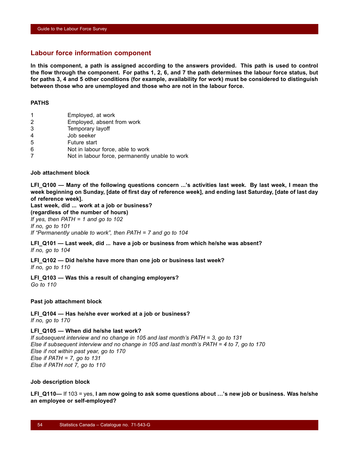### **Labour force information component**

**In this component, a path is assigned according to the answers provided. This path is used to control the flow through the component. For paths 1, 2, 6, and 7 the path determines the labour force status, but for paths 3, 4 and 5 other conditions (for example, availability for work) must be considered to distinguish between those who are unemployed and those who are not in the labour force.**

#### **PATHS**

- 1 Employed, at work
- 2 Employed, absent from work
- 3 Temporary layoff
- 4 Job seeker
- 5 Future start
- 6 Not in labour force, able to work
- 7 Not in labour force, permanently unable to work

#### **Job attachment block**

LFI Q100 — Many of the following questions concern ...'s activities last week. By last week, I mean the **week beginning on Sunday, [date of first day of reference week], and ending last Saturday, [date of last day of reference week].**

**Last week, did ... work at a job or business? (regardless of the number of hours)** *If yes, then PATH = 1 and go to 102 If no, go to 101 If "Permanently unable to work", then PATH = 7 and go to 104*

**LFI\_Q101 — Last week, did ... have a job or business from which he/she was absent?** *If no, go to 104*

**LFI\_Q102 — Did he/she have more than one job or business last week?** *If no, go to 110*

**LFI\_Q103 — Was this a result of changing employers?** *Go to 110*

#### **Past job attachment block**

**LFI\_Q104 — Has he/she ever worked at a job or business?** *If no, go to 170*

#### **LFI\_Q105 — When did he/she last work?**

*If subsequent interview and no change in 105 and last month's PATH = 3, go to 131 Else if subsequent interview and no change in 105 and last month's PATH = 4 to 7, go to 170 Else if not within past year, go to 170 Else if PATH = 7, go to 131 Else if PATH not 7, go to 110*

#### **Job description block**

**LFI\_Q110—** If 103 = yes, **I am now going to ask some questions about …'s new job or business. Was he/she an employee or self-employed?**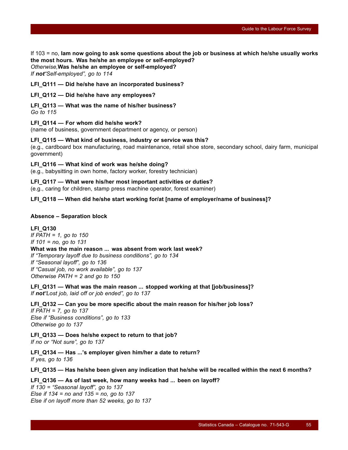If 103 = no, **Iam now going to ask some questions about the job or business at which he/she usually works the most hours. Was he/she an employee or self-employed?** *Otherwise,***Was he/she an employee or self-employed?**

*If not"Self-employed", go to 114*

**LFI\_Q111 — Did he/she have an incorporated business?**

**LFI\_Q112 — Did he/she have any employees?**

**LFI\_Q113 — What was the name of his/her business?**

*Go to 115*

**LFI\_Q114 — For whom did he/she work?**

(name of business, government department or agency, or person)

**LFI\_Q115 — What kind of business, industry or service was this?**

(e.g., cardboard box manufacturing, road maintenance, retail shoe store, secondary school, dairy farm, municipal government)

**LFI\_Q116 — What kind of work was he/she doing?**

(e.g., babysitting in own home, factory worker, forestry technician)

**LFI\_Q117 — What were his/her most important activities or duties?**

(e.g., caring for children, stamp press machine operator, forest examiner)

LFI Q118 — When did he/she start working for/at [name of employer/name of business]?

#### **Absence – Separation block**

**LFI\_Q130** *If PATH = 1, go to 150 If 101 = no, go to 131* **What was the main reason ... was absent from work last week?** *If "Temporary layoff due to business conditions", go to 134 If "Seasonal layoff", go to 136 If "Casual job, no work available", go to 137 Otherwise PATH = 2 and go to 150*

**LFI\_Q131 — What was the main reason ... stopped working at that [job/business]?** *If not"Lost job, laid off or job ended", go to 137*

**LFI\_Q132 — Can you be more specific about the main reason for his/her job loss?** *If PATH = 7, go to 137 Else if "Business conditions", go to 133 Otherwise go to 137*

**LFI\_Q133 — Does he/she expect to return to that job?** *If no or "Not sure", go to 137*

**LFI\_Q134 — Has ...'s employer given him/her a date to return?** *If yes, go to 136*

**LFI\_Q135 — Has he/she been given any indication that he/she will be recalled within the next 6 months?**

**LFI\_Q136 — As of last week, how many weeks had ... been on layoff?** *If 130 = "Seasonal layoff", go to 137*

*Else if 134 = no and 135 = no, go to 137 Else if on layoff more than 52 weeks, go to 137*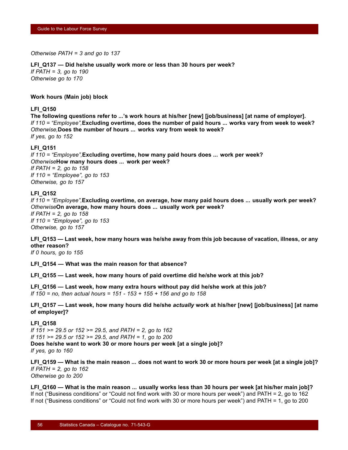*Otherwise PATH = 3 and go to 137*

#### **LFI\_Q137 — Did he/she usually work more or less than 30 hours per week?**

*If PATH = 3, go to 190 Otherwise go to 170*

#### **Work hours (Main job) block**

#### **LFI\_Q150**

**The following questions refer to ...'s work hours at his/her [new] [job/business] [at name of employer].** *If 110 = "Employee",***Excluding overtime, does the number of paid hours ... works vary from week to week?** *Otherwise,***Does the number of hours ... works vary from week to week?** *If yes, go to 152*

#### **LFI\_Q151**

*If 110 = "Employee",***Excluding overtime, how many paid hours does ... work per week?** *Otherwise***How many hours does ... work per week?** *If PATH = 2, go to 158 If 110 = "Employee", go to 153 Otherwise, go to 157*

#### **LFI\_Q152**

*If 110 = "Employee",***Excluding overtime, on average, how many paid hours does ... usually work per week?** *Otherwise***On average, how many hours does ... usually work per week?** *If PATH = 2, go to 158 If 110 = "Employee", go to 153 Otherwise, go to 157*

**LFI\_Q153 — Last week, how many hours was he/she away from this job because of vacation, illness, or any other reason?**

*If 0 hours, go to 155*

**LFI\_Q154 — What was the main reason for that absence?**

**LFI\_Q155 — Last week, how many hours of paid overtime did he/she work at this job?**

**LFI\_Q156 — Last week, how many extra hours without pay did he/she work at this job?** *If 150 = no, then actual hours = 151 - 153 + 155 + 156 and go to 158*

**LFI\_Q157 — Last week, how many hours did he/she** *actually* **work at his/her [new] [job/business] [at name of employer]?**

#### **LFI\_Q158**

*If 151 >= 29.5 or 152 >= 29.5, and PATH = 2, go to 162 If 151 >= 29.5 or 152 >= 29.5, and PATH = 1, go to 200* **Does he/she want to work 30 or more hours per week [at a single job]?** *If yes, go to 160*

**LFI\_Q159 — What is the main reason ... does not want to work 30 or more hours per week [at a single job]?** *If PATH = 2, go to 162 Otherwise go to 200*

**LFI\_Q160 — What is the main reason ... usually works less than 30 hours per week [at his/her main job]?** If not ("Business conditions" or "Could not find work with 30 or more hours per week") and PATH = 2, go to 162 If not ("Business conditions" or "Could not find work with 30 or more hours per week") and PATH = 1, go to 200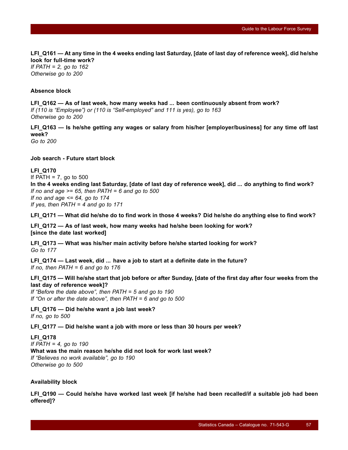**LFI\_Q161 — At any time in the 4 weeks ending last Saturday, [date of last day of reference week], did he/she look for full-time work?**

*If PATH = 2, go to 162 Otherwise go to 200*

#### **Absence block**

**LFI\_Q162 — As of last week, how many weeks had ... been continuously absent from work?** *If (110 is "Employee") or (110 is "Self-employed" and 111 is yes), go to 163 Otherwise go to 200*

**LFI\_Q163 — Is he/she getting any wages or salary from his/her [employer/business] for any time off last week?**

*Go to 200*

**Job search - Future start block**

#### **LFI\_Q170**

If PATH =  $7$ , go to 500 **In the 4 weeks ending last Saturday, [date of last day of reference week], did ... do anything to find work?** *If no and age >= 65, then PATH = 6 and go to 500 If no and age <= 64, go to 174 If yes, then PATH = 4 and go to 171*

**LFI\_Q171 — What did he/she do to find work in those 4 weeks? Did he/she do anything else to find work?**

**LFI\_Q172 — As of last week, how many weeks had he/she been looking for work? [since the date last worked]**

**LFI\_Q173 — What was his/her main activity before he/she started looking for work?** *Go to 177*

**LFI\_Q174 — Last week, did ... have a job to start at a definite date in the future?** *If no, then PATH = 6 and go to 176*

#### **LFI\_Q175 — Will he/she start that job before or after Sunday, [date of the first day after four weeks from the last day of reference week]?**

*If "Before the date above", then PATH = 5 and go to 190 If "On or after the date above", then PATH = 6 and go to 500*

**LFI\_Q176 — Did he/she want a job last week?** *If no, go to 500*

**LFI\_Q177 — Did he/she want a job with more or less than 30 hours per week?**

**LFI\_Q178** *If PATH = 4, go to 190* **What was the main reason he/she did not look for work last week?** *If "Believes no work available", go to 190 Otherwise go to 500*

#### **Availability block**

**LFI\_Q190 — Could he/she have worked last week [if he/she had been recalled/if a suitable job had been offered]?**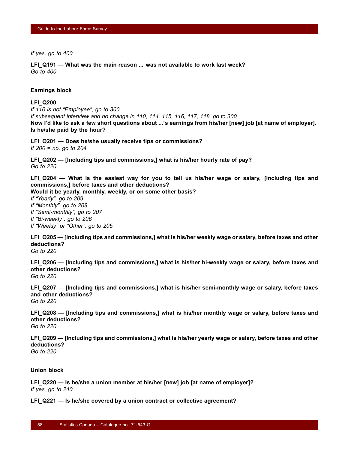*If yes, go to 400*

**LFI\_Q191 — What was the main reason ... was not available to work last week?** *Go to 400*

#### **Earnings block**

#### **LFI\_Q200**

*If 110 is not "Employee", go to 300 If subsequent interview and no change in 110, 114, 115, 116, 117, 118, go to 300* **Now I'd like to ask a few short questions about ...'s earnings from his/her [new] job [at name of employer]. Is he/she paid by the hour?**

**LFI\_Q201 — Does he/she usually receive tips or commissions?** *If 200 = no, go to 204*

**LFI\_Q202 — [Including tips and commissions,] what is his/her hourly rate of pay?** *Go to 220*

**LFI\_Q204 — What is the easiest way for you to tell us his/her wage or salary, [including tips and commissions,] before taxes and other deductions?**

**Would it be yearly, monthly, weekly, or on some other basis?**

*If "Yearly", go to 209 If "Monthly", go to 208 If "Semi-monthly", go to 207 If "Bi-weekly", go to 206 If "Weekly" or "Other", go to 205*

**LFI\_Q205 — [Including tips and commissions,] what is his/her weekly wage or salary, before taxes and other deductions?**

*Go to 220*

**LFI\_Q206 — [Including tips and commissions,] what is his/her bi-weekly wage or salary, before taxes and other deductions?**

*Go to 220*

**LFI\_Q207 — [Including tips and commissions,] what is his/her semi-monthly wage or salary, before taxes and other deductions?** *Go to 220*

**LFI\_Q208 — [Including tips and commissions,] what is his/her monthly wage or salary, before taxes and other deductions?** *Go to 220*

**LFI\_Q209 — [Including tips and commissions,] what is his/her yearly wage or salary, before taxes and other deductions?** *Go to 220*

**Union block**

**LFI\_Q220 — Is he/she a union member at his/her [new] job [at name of employer]?** *If yes, go to 240*

**LFI\_Q221 — Is he/she covered by a union contract or collective agreement?**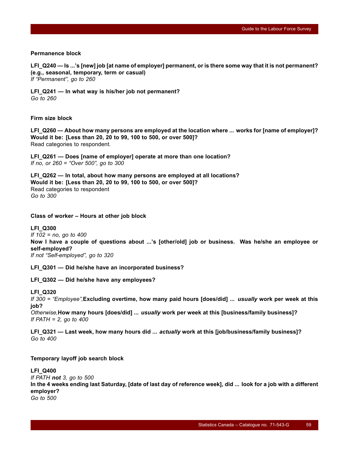#### **Permanence block**

**LFI\_Q240 — Is ...'s [new] job [at name of employer] permanent, or is there some way that it is not permanent? (e.g., seasonal, temporary, term or casual)** *If "Permanent", go to 260*

**LFI\_Q241 — In what way is his/her job not permanent?** *Go to 260*

#### **Firm size block**

**LFI\_Q260 — About how many persons are employed at the location where ... works for [name of employer]? Would it be: [Less than 20, 20 to 99, 100 to 500, or over 500]?** Read categories to respondent.

**LFI\_Q261 — Does [name of employer] operate at more than one location?** *If no, or 260 = "Over 500", go to 300*

**LFI\_Q262 — In total, about how many persons are employed at all locations? Would it be: [Less than 20, 20 to 99, 100 to 500, or over 500]?** Read categories to respondent *Go to 300*

**Class of worker – Hours at other job block**

#### **LFI\_Q300**

*If 102 = no, go to 400* **Now I have a couple of questions about ...'s [other/old] job or business. Was he/she an employee or self-employed?** *If not "Self-employed", go to 320*

**LFI\_Q301 — Did he/she have an incorporated business?**

**LFI\_Q302 — Did he/she have any employees?**

#### **LFI\_Q320**

*If 300 = "Employee",***Excluding overtime, how many paid hours [does/did] ...** *usually* **work per week at this job?**

*Otherwise,***How many hours [does/did] ...** *usually* **work per week at this [business/family business]?** *If PATH = 2, go to 400*

**LFI\_Q321 — Last week, how many hours did ...** *actually* **work at this [job/business/family business]?** *Go to 400*

#### **Temporary layoff job search block**

#### **LFI\_Q400**

*If PATH not 3, go to 500* **In the 4 weeks ending last Saturday, [date of last day of reference week], did ... look for a job with a different employer?** *Go to 500*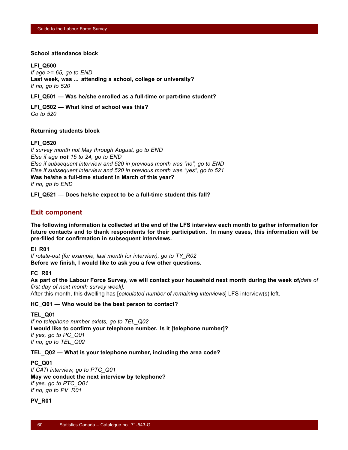#### **School attendance block**

#### **LFI\_Q500**

*If age >= 65, go to END* **Last week, was ... attending a school, college or university?** *If no, go to 520*

**LFI\_Q501 — Was he/she enrolled as a full-time or part-time student?**

**LFI\_Q502 — What kind of school was this?** *Go to 520*

#### **Returning students block**

#### **LFI\_Q520**

*If survey month not May through August, go to END Else if age not 15 to 24, go to END Else if subsequent interview and 520 in previous month was "no", go to END Else if subsequent interview and 520 in previous month was "yes", go to 521* **Was he/she a full-time student in March of this year?** *If no, go to END*

**LFI\_Q521 — Does he/she expect to be a full-time student this fall?**

## **Exit component**

**The following information is collected at the end of the LFS interview each month to gather information for future contacts and to thank respondents for their participation. In many cases, this information will be pre-filled for confirmation in subsequent interviews.**

#### **EI\_R01**

*If rotate-out (for example, last month for interview), go to TY\_R02* **Before we finish, I would like to ask you a few other questions.**

#### **FC\_R01**

**As part of the Labour Force Survey, we will contact your household next month during the week of***[date of first day of next month survey week].*

After this month, this dwelling has [*calculated number of remaining interviews*] LFS interview(s) left.

#### **HC\_Q01 — Who would be the best person to contact?**

#### **TEL\_Q01**

*If no telephone number exists, go to TEL\_Q02* **I would like to confirm your telephone number. Is it [telephone number]?** *If yes, go to PC\_Q01 If no, go to TEL\_Q02*

**TEL\_Q02 — What is your telephone number, including the area code?**

#### **PC\_Q01**

*If CATI interview, go to PTC\_Q01* **May we conduct the next interview by telephone?** *If yes, go to PTC\_Q01 If no, go to PV\_R01*

#### **PV\_R01**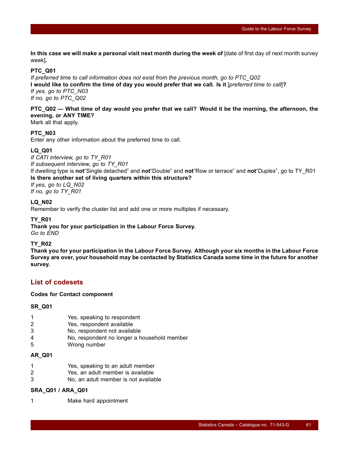**In this case we will make a personal visit next month during the week of** [date of first day of next month survey week]**.**

#### **PTC\_Q01**

*If preferred time to call information does not exist from the previous month, go to PTC\_Q02* **I would like to confirm the time of day you would prefer that we call. Is it** [*preferred time to call*]**?** *If yes, go to PTC\_N03 If no, go to PTC\_Q02*

## **PTC\_Q02 — What time of day would you prefer that we call? Would it be the morning, the afternoon, the evening, or ANY TIME?**

Mark all that apply.

#### **PTC\_N03**

Enter any other information about the preferred time to call.

#### **LQ\_Q01**

*If CATI interview, go to TY\_R01 If subsequent interview, go to TY\_R01*

If dwelling type is **not**"Single detached" and **not**"Double" and **not**"Row or terrace" and **not**"Duplex", go to TY\_R01 **Is there another set of living quarters within this structure?**

# *If yes, go to LQ\_N02*

*If no, go to TY\_R01*

#### **LQ\_N02**

Remember to verify the cluster list and add one or more multiples if necessary.

#### **TY\_R01**

**Thank you for your participation in the Labour Force Survey.** *Go to END*

#### **TY\_R02**

**Thank you for your participation in the Labour Force Survey. Although your six months in the Labour Force Survey are over, your household may be contacted by Statistics Canada some time in the future for another survey.**

## **List of codesets**

**Codes for Contact component**

#### **SR\_Q01**

- 1 Yes, speaking to respondent
- 2 Yes, respondent available
- 3 No, respondent not available
- 4 No, respondent no longer a household member
- 5 Wrong number

#### **AR\_Q01**

- 1 Yes, speaking to an adult member
- 2 Yes, an adult member is available
- 3 No, an adult member is not available

#### **SRA\_Q01 / ARA\_Q01**

1 Make hard appointment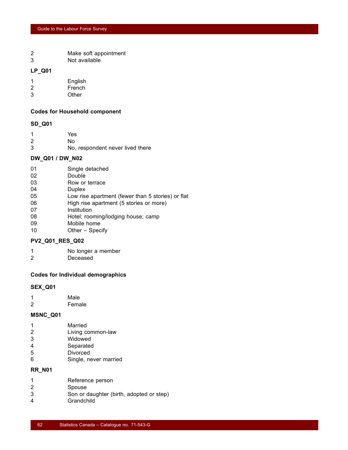- 2 Make soft appointment
- 3 Not available

#### **LP\_Q01**

| 1 | English |
|---|---------|
| 2 | French  |
| 3 | Other   |

#### **Codes for Household component**

#### **SD\_Q01**

| -1             | Yes                              |
|----------------|----------------------------------|
| $\overline{2}$ | N٥                               |
| 3              | No, respondent never lived there |

## **DW\_Q01 / DW\_N02**

- 01 Single detached
- 02 Double
- 03 Row or terrace
- 04 Duplex
- 05 Low rise apartment (fewer than 5 stories) or flat
- 06 High rise apartment (5 stories or more)
- 07 Institution
- 08 Hotel; rooming/lodging house; camp
- 09 Mobile home
- 10 Other Specify

#### **PV2\_Q01\_RES\_Q02**

- 1 No longer a member
- 2 Deceased

#### **Codes for Individual demographics**

#### **SEX\_Q01**

| -1 | Male   |
|----|--------|
| 2  | Female |

#### **MSNC\_Q01**

- 2 Living common-law
- 3 Widowed
- 4 Separated
- 5 Divorced
- 6 Single, never married

## **RR\_N01**

|  | Reference person |  |
|--|------------------|--|
|  |                  |  |

- 2 Spouse
- 3 Son or daughter (birth, adopted or step)
- 4 Grandchild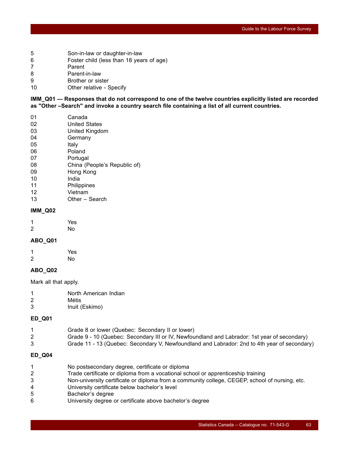- 5 Son-in-law or daughter-in-law
- 6 Foster child (less than 18 years of age)
- 7 Parent
- 8 Parent-in-law
- 9 Brother or sister
- 10 Other relative Specify

**IMM\_Q01 — Responses that do not correspond to one of the twelve countries explicitly listed are recorded as "Other –Search" and invoke a country search file containing a list of all current countries.**

- 01 Canada
- 02 United States
- 03 United Kingdom
- 04 Germany
- 05 Italy
- 06 Poland
- 07 Portugal 08 China (People's Republic of)
- 09 Hong Kong
- 10 India
- 11 Philippines
- 12 Vietnam
- 13 Other Search

#### **IMM\_Q02**

| 1 | Yes |
|---|-----|
| 2 | No  |

#### **ABO\_Q01**

| 1 | Yes |
|---|-----|
| 2 | No  |

#### **ABO\_Q02**

Mark all that apply.

| 1 | North American Indian |
|---|-----------------------|
| 2 | Métis                 |

3 Inuit (Eskimo)

#### **ED\_Q01**

- 1 Grade 8 or lower (Quebec: Secondary II or lower)
- 2 Grade 9 10 (Quebec: Secondary III or IV, Newfoundland and Labrador: 1st year of secondary)
- 3 Grade 11 13 (Quebec: Secondary V, Newfoundland and Labrador: 2nd to 4th year of secondary)

#### **ED\_Q04**

- 1 No postsecondary degree, certificate or diploma
- 2 Trade certificate or diploma from a vocational school or apprenticeship training
- 3 Non-university certificate or diploma from a community college, CEGEP, school of nursing, etc.
- 4 University certificate below bachelor's level
- 5 Bachelor's degree
- 6 University degree or certificate above bachelor's degree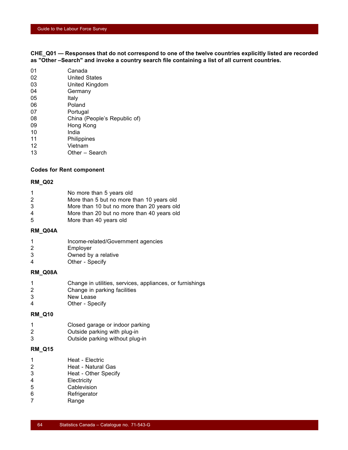**CHE\_Q01 — Responses that do not correspond to one of the twelve countries explicitly listed are recorded as "Other –Search" and invoke a country search file containing a list of all current countries.**

| 01 | Canada                       |
|----|------------------------------|
| 02 | <b>United States</b>         |
| 03 | United Kingdom               |
| 04 | Germany                      |
| 05 | Italy                        |
| 06 | Poland                       |
| 07 | Portugal                     |
| 08 | China (People's Republic of) |
| 09 | Hong Kong                    |
| 10 | India                        |
| 11 | Philippines                  |
| 12 | Vietnam                      |
|    |                              |

13 Other – Search

#### **Codes for Rent component**

#### **RM\_Q02**

|  |  | No more than 5 years old |  |
|--|--|--------------------------|--|
|  |  |                          |  |

- 2 More than 5 but no more than 10 years old
- 3 More than 10 but no more than 20 years old
- 4 More than 20 but no more than 40 years old
- 5 More than 40 years old

#### **RM\_Q04A**

- 1 Income-related/Government agencies
- 2 Employer
- 3 Owned by a relative
- 4 Other Specify

#### **RM\_Q08A**

- 1 Change in utilities, services, appliances, or furnishings
- 2 Change in parking facilities
- 3 New Lease
- 4 Other Specify

#### **RM\_Q10**

- 1 Closed garage or indoor parking
- 2 Outside parking with plug-in
- 3 Outside parking without plug-in

#### **RM\_Q15**

1 Heat - Electric 2 Heat - Natural Gas 3 Heat - Other Specify 4 Electricity 5 Cablevision 6 Refrigerator 7 Range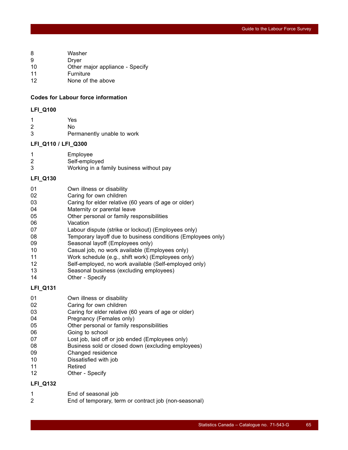- 8 Washer
- 9 Dryer
- 10 Other major appliance Specify
- 11 Furniture
- 12 None of the above

#### **Codes for Labour force information**

#### **LFI\_Q100**

1 Yes 2 No 3 Permanently unable to work

#### **LFI\_Q110 / LFI\_Q300**

| Employee      |
|---------------|
| Self-employed |

3 Working in a family business without pay

### **LFI\_Q130**

| 01 |  | Own illness or disability |
|----|--|---------------------------|
|----|--|---------------------------|

- 02 Caring for own children
- 03 Caring for elder relative (60 years of age or older)
- 04 Maternity or parental leave
- 05 Other personal or family responsibilities
- 06 Vacation
- 07 Labour dispute (strike or lockout) (Employees only)
- 08 Temporary layoff due to business conditions (Employees only)
- 09 Seasonal layoff (Employees only)
- 10 Casual job, no work available (Employees only)
- 11 Work schedule (e.g., shift work) (Employees only)
- 12 Self-employed, no work available (Self-employed only)
- 13 Seasonal business (excluding employees)
- 14 Other Specify

#### **LFI\_Q131**

- 01 Own illness or disability
- 02 Caring for own children
- 03 Caring for elder relative (60 years of age or older)
- 04 Pregnancy (Females only)
- 05 Other personal or family responsibilities
- 06 **Going to school**
- 07 Lost job, laid off or job ended (Employees only)
- 08 Business sold or closed down (excluding employees)
- 09 Changed residence
- 10 Dissatisfied with job
- 11 Retired
- 12 Other Specify

#### **LFI\_Q132**

1 End of seasonal job 2 End of temporary, term or contract job (non-seasonal)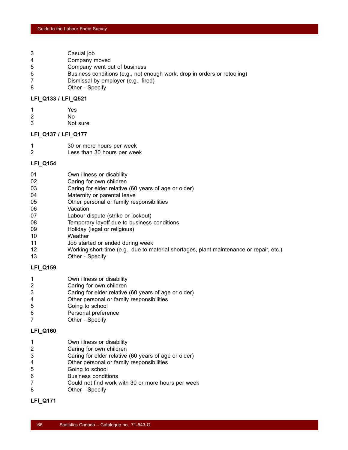- 3 Casual job
- 4 Company moved
- 5 Company went out of business
- 6 Business conditions (e.g., not enough work, drop in orders or retooling)
- 7 Dismissal by employer (e.g., fired)
- 8 Other Specify

#### **LFI\_Q133 / LFI\_Q521**

- 1 Yes 2 No
- 3 Not sure

#### **LFI\_Q137 / LFI\_Q177**

- 1 30 or more hours per week
- 2 Less than 30 hours per week

#### **LFI\_Q154**

- 01 Own illness or disability
- 02 Caring for own children
- 03 Caring for elder relative (60 years of age or older)
- 04 Maternity or parental leave
- 05 Other personal or family responsibilities
- 06 Vacation
- 07 Labour dispute (strike or lockout)
- 08 Temporary layoff due to business conditions
- 09 Holiday (legal or religious)
- 10 Weather
- 11 Job started or ended during week
- 12 Working short-time (e.g., due to material shortages, plant maintenance or repair, etc.)
- 13 Other Specify

#### **LFI\_Q159**

- 1 Own illness or disability
- 2 Caring for own children
- 3 Caring for elder relative (60 years of age or older)
- 4 Other personal or family responsibilities
- 5 Going to school
- 6 Personal preference
- 7 Other Specify

#### **LFI\_Q160**

- 1 Own illness or disability
- 2 Caring for own children
- 3 Caring for elder relative (60 years of age or older)
- 4 Other personal or family responsibilities
- 5 Going to school
- 6 Business conditions
- 7 Could not find work with 30 or more hours per week
- 8 Other Specify

#### **LFI\_Q171**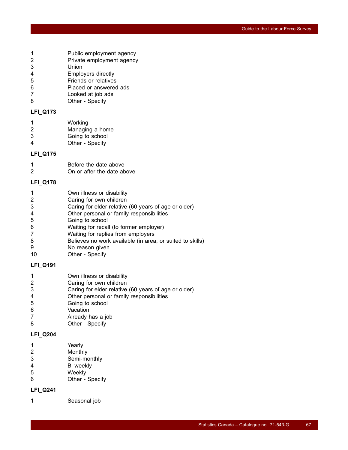- 1 Public employment agency
- 2 Private employment agency
- 3 Union
- 4 Employers directly
- 5 Friends or relatives
- 6 Placed or answered ads
- 7 Looked at job ads
- 8 Other Specify

## **LFI\_Q173**

| -1 | Working         |
|----|-----------------|
| 2  | Managing a home |
| 3  | Going to school |
| 4  | Other - Specify |

#### **LFI\_Q175**

| -1 | Before the date above      |
|----|----------------------------|
| 2  | On or after the date above |

#### **LFI\_Q178**

|  |  |  |  | Own illness or disability |
|--|--|--|--|---------------------------|
|--|--|--|--|---------------------------|

- 2 Caring for own children
- 3 Caring for elder relative (60 years of age or older)
- 4 Other personal or family responsibilities
- 5 Going to school
- 6 Waiting for recall (to former employer)
- 7 Waiting for replies from employers
- 8 Believes no work available (in area, or suited to skills)
- 9 No reason given
- 10 Other Specify

#### **LFI\_Q191**

- 1 Own illness or disability
- 2 Caring for own children
- 3 Caring for elder relative (60 years of age or older)
- 4 Other personal or family responsibilities
- 5 Going to school
- 6 Vacation
- 7 Already has a job
- 8 Other Specify

## **LFI\_Q204**

- 1 Yearly
- 2 Monthly
- 3 Semi-monthly
- 4 Bi-weekly 5 Weekly
- 6 Other Specify

## **LFI\_Q241**

1 Seasonal job